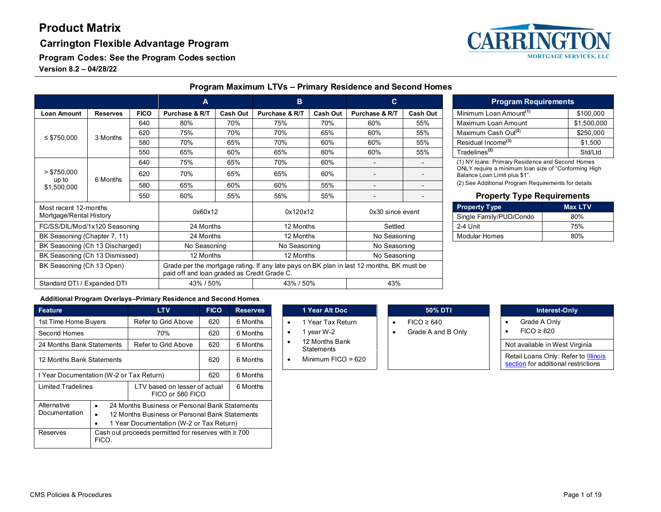#### **Carrington Flexible Advantage Program**

**MORTGAGE SERVICES, LLC** 

**Program Codes: See the Program Codes section**

**Version 8.2 – 04/28/22**

|                                     |                 | A                                           |                | B                                                                                        |                | $\mathbf{C}$         |                          |                          | <b>Program Requirements</b>                                                           |                      |                                                  |
|-------------------------------------|-----------------|---------------------------------------------|----------------|------------------------------------------------------------------------------------------|----------------|----------------------|--------------------------|--------------------------|---------------------------------------------------------------------------------------|----------------------|--------------------------------------------------|
| <b>Loan Amount</b>                  | <b>Reserves</b> | <b>FICO</b>                                 | Purchase & R/T | <b>Cash Out</b>                                                                          | Purchase & R/T | <b>Cash Out</b>      | Purchase & R/T           | <b>Cash Out</b>          | Minimum Loan Amount <sup>(1)</sup>                                                    |                      | \$100,000                                        |
|                                     |                 | 640                                         | 80%            | 70%                                                                                      | 75%            | 70%                  | 60%                      | 55%                      | Maximum Loan Amount                                                                   |                      | \$1,500,000                                      |
|                                     |                 | 620                                         | 75%            | 70%                                                                                      | 70%            | 65%                  | 60%                      | 55%                      | Maximum Cash Out <sup>(2)</sup>                                                       |                      | \$250,000                                        |
| $\leq$ \$750,000                    | 3 Months        | 580                                         | 70%            | 65%                                                                                      | 70%            | 60%                  | 60%                      | 55%                      | Residual Income <sup>(3)</sup>                                                        |                      | \$1,500                                          |
|                                     |                 | 550                                         | 65%            | 60%                                                                                      | 65%            | 60%                  | 60%                      | 55%                      | Tradelines <sup>(2)</sup>                                                             |                      | Std/Ltd                                          |
|                                     |                 | 640                                         | 75%            | 65%                                                                                      | 70%            | 60%                  | $\blacksquare$           | $\blacksquare$           |                                                                                       |                      | (1) NY loans: Primary Residence and Second Homes |
| > \$750,000<br>up to<br>\$1,500,000 | 6 Months        | 620                                         | 70%            | 65%                                                                                      | 65%            | 60%                  | $\overline{\phantom{0}}$ | $\overline{\phantom{0}}$ | ONLY require a minimum loan size of "Conforming High<br>Balance Loan Limit plus \$1". |                      |                                                  |
|                                     |                 | 580                                         | 65%            | 60%                                                                                      | 60%            | 55%                  | $\overline{\phantom{0}}$ |                          | (2) See Additional Program Requirements for details                                   |                      |                                                  |
|                                     |                 | 550                                         | 60%            | 55%                                                                                      | 55%            | 55%                  |                          |                          |                                                                                       |                      | <b>Property Type Requirements</b>                |
| Most recent 12-months               |                 |                                             | 0x60x12        |                                                                                          | 0x120x12       |                      | 0x30 since event         |                          | <b>Property Type</b>                                                                  |                      | <b>Max LTV</b>                                   |
| Mortgage/Rental History             |                 |                                             |                |                                                                                          |                |                      | Single Family/PUD/Condo  |                          | 80%                                                                                   |                      |                                                  |
| FC/SS/DIL/Mod/1x120 Seasoning       |                 |                                             | 24 Months      |                                                                                          |                | 12 Months<br>Settled |                          | 2-4 Unit                 |                                                                                       | 75%                  |                                                  |
| BK Seasoning (Chapter 7, 11)        |                 |                                             |                | 24 Months                                                                                |                | 12 Months            |                          | No Seasoning             |                                                                                       | <b>Modular Homes</b> | 80%                                              |
| BK Seasoning (Ch 13 Discharged)     |                 |                                             | No Seasoning   |                                                                                          | No Seasoning   |                      | No Seasoning             |                          |                                                                                       |                      |                                                  |
| BK Seasoning (Ch 13 Dismissed)      |                 |                                             | 12 Months      |                                                                                          | 12 Months      |                      | No Seasoning             |                          |                                                                                       |                      |                                                  |
| BK Seasoning (Ch 13 Open)           |                 | paid off and loan graded as Credit Grade C. |                | Grade per the mortgage rating. If any late pays on BK plan in last 12 months, BK must be |                |                      |                          |                          |                                                                                       |                      |                                                  |
| Standard DTI / Expanded DTI         |                 |                                             | 43% / 50%      |                                                                                          | 43% / 50%      |                      | 43%                      |                          |                                                                                       |                      |                                                  |

| <b>Program Requirements</b>        |             |  |  |  |  |  |
|------------------------------------|-------------|--|--|--|--|--|
| Minimum Loan Amount <sup>(1)</sup> | \$100,000   |  |  |  |  |  |
| Maximum Loan Amount                | \$1,500,000 |  |  |  |  |  |
| Maximum Cash Out <sup>(2)</sup>    | \$250,000   |  |  |  |  |  |
| Residual Income <sup>(3)</sup>     | \$1,500     |  |  |  |  |  |
| Tradelines <sup>(2)</sup>          | Std/Ltd     |  |  |  |  |  |

#### **Property Type Requirements**

| <b>Property Type</b>    | <b>Max LTV</b> |
|-------------------------|----------------|
| Single Family/PUD/Condo | 80%            |
| 2-4 Unit                | 75%            |
| Modular Homes           | 80%            |

#### **Additional Program Overlays–Primary Residence and Second Homes**

| Feature                                                                                                                                                                                                             |  | <b>LTV</b>          | <b>FICO</b> | <b>Reserves</b>      | 1 Year Alt Doc                      | 50% DTI                                                | Interest-Only             |
|---------------------------------------------------------------------------------------------------------------------------------------------------------------------------------------------------------------------|--|---------------------|-------------|----------------------|-------------------------------------|--------------------------------------------------------|---------------------------|
| 1st Time Home Buyers                                                                                                                                                                                                |  | Refer to Grid Above | 620         | 6 Months             | 1 Year Tax Return                   | $FICO \geq 640$<br>٠                                   | Grade A Only              |
| Second Homes                                                                                                                                                                                                        |  | 70%                 | 620         | 6 Months             | 1 year W-2                          | Grade A and B Only                                     | $FICO \geq 620$           |
| 24 Months Bank Statements                                                                                                                                                                                           |  | Refer to Grid Above | 620         | 6 Months             | 12 Months Bank<br><b>Statements</b> |                                                        | Not available in West Vir |
| 12 Months Bank Statements                                                                                                                                                                                           |  | 620                 | 6 Months    | Minimum $FICO = 620$ |                                     | Retail Loans Only: Refer<br>section for additional res |                           |
| Year Documentation (W-2 or Tax Return)                                                                                                                                                                              |  |                     | 620         | 6 Months             |                                     |                                                        |                           |
| Limited Tradelines<br>LTV based on lesser of actual<br>FICO or 580 FICO                                                                                                                                             |  |                     | 6 Months    |                      |                                     |                                                        |                           |
| Alternative<br>24 Months Business or Personal Bank Statements<br>$\bullet$<br>Documentation<br>12 Months Business or Personal Bank Statements<br>$\bullet$<br>1 Year Documentation (W-2 or Tax Return)<br>$\bullet$ |  |                     |             |                      |                                     |                                                        |                           |
| Cash out proceeds permitted for reserves with $\geq 700$<br>Reserves<br>FICO.                                                                                                                                       |  |                     |             |                      |                                     |                                                        |                           |

|           | 1 Year Alt Doc.                     |  |             |
|-----------|-------------------------------------|--|-------------|
|           | 1 Year Tax Return                   |  | $FICO \geq$ |
| $\bullet$ | 1 year W-2                          |  | Grade A     |
|           | 12 Months Bank<br><b>Statements</b> |  |             |

|   | <b>50% DTI</b>  |
|---|-----------------|
| ٠ | $FICO \geq 640$ |

- Grade A Only
- 

Not available in West Virginia

Retail Loans Only: Refer to **Illinois** [section](#page-11-0) for additional restrictions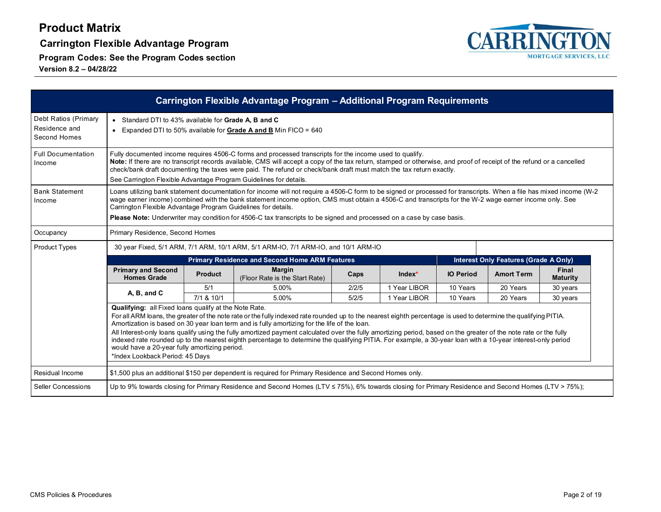**Carrington Flexible Advantage Program**



|                                                       |                                                                                                                                                                                                                                                                                                                                                                                                                                                                                                                                                                                                                                                                                                                                                          |                | Carrington Flexible Advantage Program - Additional Program Requirements                                 |       |              |                  |                                              |                          |  |  |  |
|-------------------------------------------------------|----------------------------------------------------------------------------------------------------------------------------------------------------------------------------------------------------------------------------------------------------------------------------------------------------------------------------------------------------------------------------------------------------------------------------------------------------------------------------------------------------------------------------------------------------------------------------------------------------------------------------------------------------------------------------------------------------------------------------------------------------------|----------------|---------------------------------------------------------------------------------------------------------|-------|--------------|------------------|----------------------------------------------|--------------------------|--|--|--|
| Debt Ratios (Primary<br>Residence and<br>Second Homes | • Standard DTI to 43% available for Grade A, B and C<br>• Expanded DTI to 50% available for Grade A and B Min FICO = $640$                                                                                                                                                                                                                                                                                                                                                                                                                                                                                                                                                                                                                               |                |                                                                                                         |       |              |                  |                                              |                          |  |  |  |
| <b>Full Documentation</b><br>Income                   | Fully documented income requires 4506-C forms and processed transcripts for the income used to qualify.<br>Note: If there are no transcript records available, CMS will accept a copy of the tax return, stamped or otherwise, and proof of receipt of the refund or a cancelled<br>check/bank draft documenting the taxes were paid. The refund or check/bank draft must match the tax return exactly.<br>See Carrington Flexible Advantage Program Guidelines for details.                                                                                                                                                                                                                                                                             |                |                                                                                                         |       |              |                  |                                              |                          |  |  |  |
| <b>Bank Statement</b><br>Income                       | Loans utilizing bank statement documentation for income will not require a 4506-C form to be signed or processed for transcripts. When a file has mixed income (W-2<br>wage earner income) combined with the bank statement income option, CMS must obtain a 4506-C and transcripts for the W-2 wage earner income only. See<br>Carrington Flexible Advantage Program Guidelines for details.<br>Please Note: Underwriter may condition for 4506-C tax transcripts to be signed and processed on a case by case basis.                                                                                                                                                                                                                                   |                |                                                                                                         |       |              |                  |                                              |                          |  |  |  |
| Occupancy                                             | Primary Residence, Second Homes                                                                                                                                                                                                                                                                                                                                                                                                                                                                                                                                                                                                                                                                                                                          |                |                                                                                                         |       |              |                  |                                              |                          |  |  |  |
| <b>Product Types</b>                                  | 30 year Fixed, 5/1 ARM, 7/1 ARM, 10/1 ARM, 5/1 ARM-IO, 7/1 ARM-IO, and 10/1 ARM-IO                                                                                                                                                                                                                                                                                                                                                                                                                                                                                                                                                                                                                                                                       |                |                                                                                                         |       |              |                  |                                              |                          |  |  |  |
|                                                       |                                                                                                                                                                                                                                                                                                                                                                                                                                                                                                                                                                                                                                                                                                                                                          |                | <b>Primary Residence and Second Home ARM Features</b>                                                   |       |              |                  | <b>Interest Only Features (Grade A Only)</b> |                          |  |  |  |
|                                                       | <b>Primary and Second</b><br><b>Homes Grade</b>                                                                                                                                                                                                                                                                                                                                                                                                                                                                                                                                                                                                                                                                                                          | <b>Product</b> | <b>Margin</b><br>(Floor Rate is the Start Rate)                                                         | Caps  | $Index^*$    | <b>IO Period</b> | <b>Amort Term</b>                            | Final<br><b>Maturity</b> |  |  |  |
|                                                       | A, B, and C                                                                                                                                                                                                                                                                                                                                                                                                                                                                                                                                                                                                                                                                                                                                              | 5/1            | 5.00%                                                                                                   | 2/2/5 | 1 Year LIBOR | 10 Years         | 20 Years                                     | 30 years                 |  |  |  |
|                                                       |                                                                                                                                                                                                                                                                                                                                                                                                                                                                                                                                                                                                                                                                                                                                                          | 7/1 & 10/1     | 5.00%                                                                                                   | 5/2/5 | 1 Year LIBOR | 10 Years         | 20 Years                                     | 30 years                 |  |  |  |
|                                                       | <b>Qualifying:</b> all Fixed loans qualify at the Note Rate.<br>For all ARM loans, the greater of the note rate or the fully indexed rate rounded up to the nearest eighth percentage is used to determine the qualifying PITIA.<br>Amortization is based on 30 year loan term and is fully amortizing for the life of the loan.<br>All Interest-only loans qualify using the fully amortized payment calculated over the fully amortizing period, based on the greater of the note rate or the fully<br>indexed rate rounded up to the nearest eighth percentage to determine the qualifying PITIA. For example, a 30-year loan with a 10-year interest-only period<br>would have a 20-year fully amortizing period.<br>*Index Lookback Period: 45 Days |                |                                                                                                         |       |              |                  |                                              |                          |  |  |  |
| Residual Income                                       |                                                                                                                                                                                                                                                                                                                                                                                                                                                                                                                                                                                                                                                                                                                                                          |                | \$1,500 plus an additional \$150 per dependent is required for Primary Residence and Second Homes only. |       |              |                  |                                              |                          |  |  |  |
| Seller Concessions                                    | Up to 9% towards closing for Primary Residence and Second Homes (LTV $\leq$ 75%), 6% towards closing for Primary Residence and Second Homes (LTV > 75%);                                                                                                                                                                                                                                                                                                                                                                                                                                                                                                                                                                                                 |                |                                                                                                         |       |              |                  |                                              |                          |  |  |  |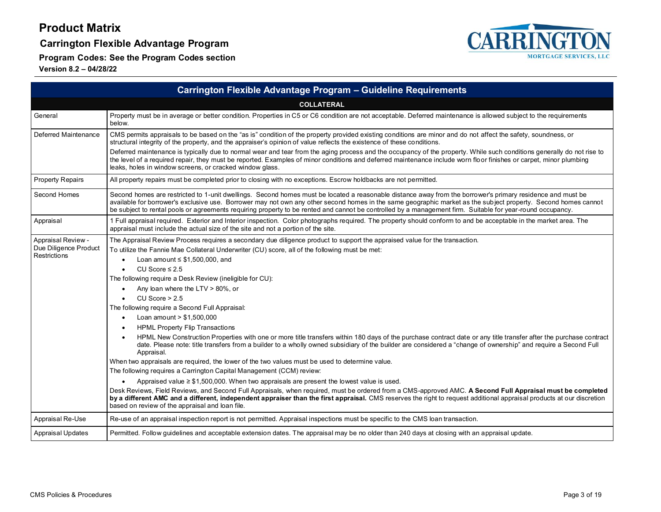**Carrington Flexible Advantage Program**

**Program Codes: See the Program Codes section**



|                                                             | Carrington Flexible Advantage Program - Guideline Requirements                                                                                                                                                                                                                                                                                                                                                                                                                                                                                                                                                                                                                                                                                                                                                                                                                                                                                                                                                                                                                                                                                                                                                                                                                                                                                                                                                                                                                                                                                                            |
|-------------------------------------------------------------|---------------------------------------------------------------------------------------------------------------------------------------------------------------------------------------------------------------------------------------------------------------------------------------------------------------------------------------------------------------------------------------------------------------------------------------------------------------------------------------------------------------------------------------------------------------------------------------------------------------------------------------------------------------------------------------------------------------------------------------------------------------------------------------------------------------------------------------------------------------------------------------------------------------------------------------------------------------------------------------------------------------------------------------------------------------------------------------------------------------------------------------------------------------------------------------------------------------------------------------------------------------------------------------------------------------------------------------------------------------------------------------------------------------------------------------------------------------------------------------------------------------------------------------------------------------------------|
|                                                             | <b>COLLATERAL</b>                                                                                                                                                                                                                                                                                                                                                                                                                                                                                                                                                                                                                                                                                                                                                                                                                                                                                                                                                                                                                                                                                                                                                                                                                                                                                                                                                                                                                                                                                                                                                         |
| General                                                     | Property must be in average or better condition. Properties in C5 or C6 condition are not acceptable. Deferred maintenance is allowed subject to the requirements<br>below.                                                                                                                                                                                                                                                                                                                                                                                                                                                                                                                                                                                                                                                                                                                                                                                                                                                                                                                                                                                                                                                                                                                                                                                                                                                                                                                                                                                               |
| Deferred Maintenance                                        | CMS permits appraisals to be based on the "as is" condition of the property provided existing conditions are minor and do not affect the safety, soundness, or<br>structural integrity of the property, and the appraiser's opinion of value reflects the existence of these conditions.                                                                                                                                                                                                                                                                                                                                                                                                                                                                                                                                                                                                                                                                                                                                                                                                                                                                                                                                                                                                                                                                                                                                                                                                                                                                                  |
|                                                             | Deferred maintenance is typically due to normal wear and tear from the aging process and the occupancy of the property. While such conditions generally do not rise to<br>the level of a required repair, they must be reported. Examples of minor conditions and deferred maintenance include worn floor finishes or carpet, minor plumbing<br>leaks, holes in window screens, or cracked window glass.                                                                                                                                                                                                                                                                                                                                                                                                                                                                                                                                                                                                                                                                                                                                                                                                                                                                                                                                                                                                                                                                                                                                                                  |
| <b>Property Repairs</b>                                     | All property repairs must be completed prior to closing with no exceptions. Escrow holdbacks are not permitted.                                                                                                                                                                                                                                                                                                                                                                                                                                                                                                                                                                                                                                                                                                                                                                                                                                                                                                                                                                                                                                                                                                                                                                                                                                                                                                                                                                                                                                                           |
| Second Homes                                                | Second homes are restricted to 1-unit dwellings. Second homes must be located a reasonable distance away from the borrower's primary residence and must be<br>available for borrower's exclusive use. Borrower may not own any other second homes in the same geographic market as the subject property. Second homes cannot<br>be subject to rental pools or agreements requiring property to be rented and cannot be controlled by a management firm. Suitable for year-round occupancy.                                                                                                                                                                                                                                                                                                                                                                                                                                                                                                                                                                                                                                                                                                                                                                                                                                                                                                                                                                                                                                                                                |
| Appraisal                                                   | 1 Full appraisal required. Exterior and Interior inspection. Color photographs required. The property should conform to and be acceptable in the market area. The<br>appraisal must include the actual size of the site and not a portion of the site.                                                                                                                                                                                                                                                                                                                                                                                                                                                                                                                                                                                                                                                                                                                                                                                                                                                                                                                                                                                                                                                                                                                                                                                                                                                                                                                    |
| Appraisal Review -<br>Due Diligence Product<br>Restrictions | The Appraisal Review Process requires a secondary due diligence product to support the appraised value for the transaction.<br>To utilize the Fannie Mae Collateral Underwriter (CU) score, all of the following must be met:<br>Loan amount $\leq$ \$1,500,000, and<br>CU Score $\leq 2.5$<br>The following require a Desk Review (ineligible for CU):<br>Any loan where the LTV $> 80\%$ , or<br>$CU$ Score $> 2.5$<br>The following require a Second Full Appraisal:<br>Loan amount $> $1,500,000$<br><b>HPML Property Flip Transactions</b><br>HPML New Construction Properties with one or more title transfers within 180 days of the purchase contract date or any title transfer after the purchase contract<br>date. Please note: title transfers from a builder to a wholly owned subsidiary of the builder are considered a "change of ownership" and require a Second Full<br>Appraisal.<br>When two appraisals are required, the lower of the two values must be used to determine value.<br>The following requires a Carrington Capital Management (CCM) review:<br>Appraised value $\geq$ \$1,500,000. When two appraisals are present the lowest value is used.<br>Desk Reviews, Field Reviews, and Second Full Appraisals, when required, must be ordered from a CMS-approved AMC. A Second Full Appraisal must be completed<br>by a different AMC and a different, independent appraiser than the first appraisal. CMS reserves the right to request additional appraisal products at our discretion<br>based on review of the appraisal and loan file. |
| Appraisal Re-Use                                            | Re-use of an appraisal inspection report is not permitted. Appraisal inspections must be specific to the CMS loan transaction.                                                                                                                                                                                                                                                                                                                                                                                                                                                                                                                                                                                                                                                                                                                                                                                                                                                                                                                                                                                                                                                                                                                                                                                                                                                                                                                                                                                                                                            |
| <b>Appraisal Updates</b>                                    | Permitted. Follow guidelines and acceptable extension dates. The appraisal may be no older than 240 days at closing with an appraisal update.                                                                                                                                                                                                                                                                                                                                                                                                                                                                                                                                                                                                                                                                                                                                                                                                                                                                                                                                                                                                                                                                                                                                                                                                                                                                                                                                                                                                                             |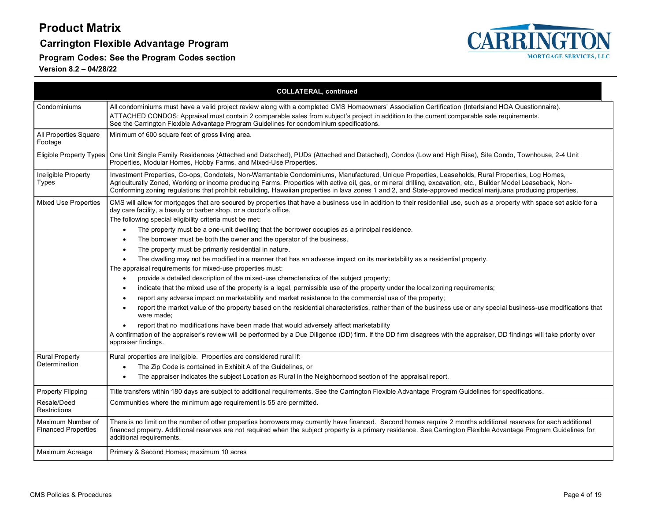### **Carrington Flexible Advantage Program**

**Program Codes: See the Program Codes section**



|                                                 | <b>COLLATERAL, continued</b>                                                                                                                                                                                                                                                                                                                                                                                                                                                                                                                                                                                                                                                                                                                                                                                                                                                                                                                                                                                                                                                                                                                                                                                                                                                                                                                                                                                                                                                                                                                                           |
|-------------------------------------------------|------------------------------------------------------------------------------------------------------------------------------------------------------------------------------------------------------------------------------------------------------------------------------------------------------------------------------------------------------------------------------------------------------------------------------------------------------------------------------------------------------------------------------------------------------------------------------------------------------------------------------------------------------------------------------------------------------------------------------------------------------------------------------------------------------------------------------------------------------------------------------------------------------------------------------------------------------------------------------------------------------------------------------------------------------------------------------------------------------------------------------------------------------------------------------------------------------------------------------------------------------------------------------------------------------------------------------------------------------------------------------------------------------------------------------------------------------------------------------------------------------------------------------------------------------------------------|
| Condominiums                                    | All condominiums must have a valid project review along with a completed CMS Homeowners' Association Certification (InterIsland HOA Questionnaire).                                                                                                                                                                                                                                                                                                                                                                                                                                                                                                                                                                                                                                                                                                                                                                                                                                                                                                                                                                                                                                                                                                                                                                                                                                                                                                                                                                                                                    |
|                                                 | ATTACHED CONDOS: Appraisal must contain 2 comparable sales from subject's project in addition to the current comparable sale requirements.<br>See the Carrington Flexible Advantage Program Guidelines for condominium specifications.                                                                                                                                                                                                                                                                                                                                                                                                                                                                                                                                                                                                                                                                                                                                                                                                                                                                                                                                                                                                                                                                                                                                                                                                                                                                                                                                 |
| All Properties Square<br>Footage                | Minimum of 600 square feet of gross living area.                                                                                                                                                                                                                                                                                                                                                                                                                                                                                                                                                                                                                                                                                                                                                                                                                                                                                                                                                                                                                                                                                                                                                                                                                                                                                                                                                                                                                                                                                                                       |
| Eligible Property Types                         | One Unit Single Family Residences (Attached and Detached), PUDs (Attached and Detached), Condos (Low and High Rise), Site Condo, Townhouse, 2-4 Unit<br>Properties, Modular Homes, Hobby Farms, and Mixed-Use Properties.                                                                                                                                                                                                                                                                                                                                                                                                                                                                                                                                                                                                                                                                                                                                                                                                                                                                                                                                                                                                                                                                                                                                                                                                                                                                                                                                              |
| Ineligible Property<br>Types                    | Investment Properties, Co-ops, Condotels, Non-Warrantable Condominiums, Manufactured, Unique Properties, Leaseholds, Rural Properties, Log Homes,<br>Agriculturally Zoned, Working or income producing Farms, Properties with active oil, gas, or mineral drilling, excavation, etc., Builder Model Leaseback, Non-<br>Conforming zoning regulations that prohibit rebuilding, Hawaiian properties in lava zones 1 and 2, and State-approved medical marijuana producing properties.                                                                                                                                                                                                                                                                                                                                                                                                                                                                                                                                                                                                                                                                                                                                                                                                                                                                                                                                                                                                                                                                                   |
| <b>Mixed Use Properties</b>                     | CMS will allow for mortgages that are secured by properties that have a business use in addition to their residential use, such as a property with space set aside for a<br>day care facility, a beauty or barber shop, or a doctor's office.<br>The following special eligibility criteria must be met:<br>The property must be a one-unit dwelling that the borrower occupies as a principal residence.<br>The borrower must be both the owner and the operator of the business.<br>The property must be primarily residential in nature.<br>The dwelling may not be modified in a manner that has an adverse impact on its marketability as a residential property.<br>The appraisal requirements for mixed-use properties must:<br>provide a detailed description of the mixed-use characteristics of the subject property;<br>$\bullet$<br>indicate that the mixed use of the property is a legal, permissible use of the property under the local zoning requirements;<br>report any adverse impact on marketability and market resistance to the commercial use of the property;<br>report the market value of the property based on the residential characteristics, rather than of the business use or any special business-use modifications that<br>were made:<br>report that no modifications have been made that would adversely affect marketability<br>A confirmation of the appraiser's review will be performed by a Due Diligence (DD) firm. If the DD firm disagrees with the appraiser, DD findings will take priority over<br>appraiser findings. |
| <b>Rural Property</b><br>Determination          | Rural properties are ineligible. Properties are considered rural if:<br>The Zip Code is contained in Exhibit A of the Guidelines, or<br>The appraiser indicates the subject Location as Rural in the Neighborhood section of the appraisal report.                                                                                                                                                                                                                                                                                                                                                                                                                                                                                                                                                                                                                                                                                                                                                                                                                                                                                                                                                                                                                                                                                                                                                                                                                                                                                                                     |
| <b>Property Flipping</b>                        | Title transfers within 180 days are subject to additional requirements. See the Carrington Flexible Advantage Program Guidelines for specifications.                                                                                                                                                                                                                                                                                                                                                                                                                                                                                                                                                                                                                                                                                                                                                                                                                                                                                                                                                                                                                                                                                                                                                                                                                                                                                                                                                                                                                   |
| Resale/Deed<br>Restrictions                     | Communities where the minimum age requirement is 55 are permitted.                                                                                                                                                                                                                                                                                                                                                                                                                                                                                                                                                                                                                                                                                                                                                                                                                                                                                                                                                                                                                                                                                                                                                                                                                                                                                                                                                                                                                                                                                                     |
| Maximum Number of<br><b>Financed Properties</b> | There is no limit on the number of other properties borrowers may currently have financed. Second homes require 2 months additional reserves for each additional<br>financed property. Additional reserves are not required when the subject property is a primary residence. See Carrington Flexible Advantage Program Guidelines for<br>additional requirements.                                                                                                                                                                                                                                                                                                                                                                                                                                                                                                                                                                                                                                                                                                                                                                                                                                                                                                                                                                                                                                                                                                                                                                                                     |
| Maximum Acreage                                 | Primary & Second Homes; maximum 10 acres                                                                                                                                                                                                                                                                                                                                                                                                                                                                                                                                                                                                                                                                                                                                                                                                                                                                                                                                                                                                                                                                                                                                                                                                                                                                                                                                                                                                                                                                                                                               |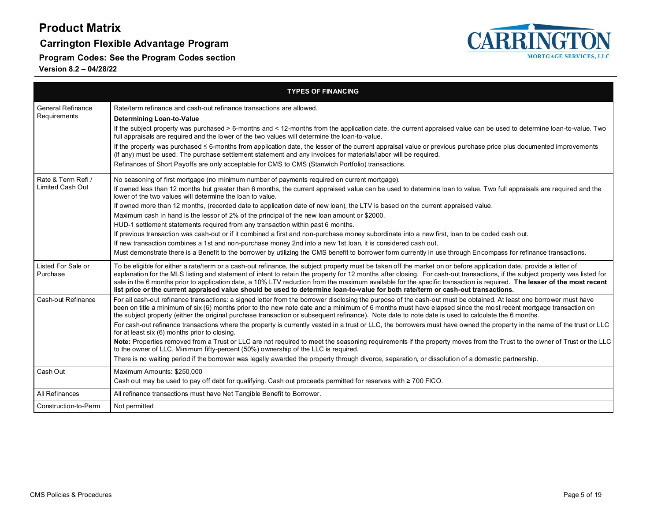### **Carrington Flexible Advantage Program**

**Program Codes: See the Program Codes section**



|                                          | <b>TYPES OF FINANCING</b>                                                                                                                                                                                                                                                                                                                                                                                                                                                                                                                                                                                                                                          |
|------------------------------------------|--------------------------------------------------------------------------------------------------------------------------------------------------------------------------------------------------------------------------------------------------------------------------------------------------------------------------------------------------------------------------------------------------------------------------------------------------------------------------------------------------------------------------------------------------------------------------------------------------------------------------------------------------------------------|
| <b>General Refinance</b><br>Requirements | Rate/term refinance and cash-out refinance transactions are allowed.<br>Determining Loan-to-Value                                                                                                                                                                                                                                                                                                                                                                                                                                                                                                                                                                  |
|                                          | If the subject property was purchased > 6-months and < 12-months from the application date, the current appraised value can be used to determine loan-to-value. Two<br>full appraisals are required and the lower of the two values will determine the loan-to-value.                                                                                                                                                                                                                                                                                                                                                                                              |
|                                          | If the property was purchased ≤ 6-months from application date, the lesser of the current appraisal value or previous purchase price plus documented improvements<br>(if any) must be used. The purchase settlement statement and any invoices for materials/labor will be required.                                                                                                                                                                                                                                                                                                                                                                               |
|                                          | Refinances of Short Payoffs are only acceptable for CMS to CMS (Stanwich Portfolio) transactions.                                                                                                                                                                                                                                                                                                                                                                                                                                                                                                                                                                  |
| Rate & Term Refi /                       | No seasoning of first mortgage (no minimum number of payments required on current mortgage).                                                                                                                                                                                                                                                                                                                                                                                                                                                                                                                                                                       |
| Limited Cash Out                         | If owned less than 12 months but greater than 6 months, the current appraised value can be used to determine loan to value. Two full appraisals are required and the<br>lower of the two values will determine the loan to value.                                                                                                                                                                                                                                                                                                                                                                                                                                  |
|                                          | If owned more than 12 months, (recorded date to application date of new loan), the LTV is based on the current appraised value.                                                                                                                                                                                                                                                                                                                                                                                                                                                                                                                                    |
|                                          | Maximum cash in hand is the lessor of 2% of the principal of the new loan amount or \$2000.                                                                                                                                                                                                                                                                                                                                                                                                                                                                                                                                                                        |
|                                          | HUD-1 settlement statements required from any transaction within past 6 months.                                                                                                                                                                                                                                                                                                                                                                                                                                                                                                                                                                                    |
|                                          | If previous transaction was cash-out or if it combined a first and non-purchase money subordinate into a new first, loan to be coded cash out.                                                                                                                                                                                                                                                                                                                                                                                                                                                                                                                     |
|                                          | If new transaction combines a 1st and non-purchase money 2nd into a new 1st loan, it is considered cash out.                                                                                                                                                                                                                                                                                                                                                                                                                                                                                                                                                       |
|                                          | Must demonstrate there is a Benefit to the borrower by utilizing the CMS benefit to borrower form currently in use through Encompass for refinance transactions.                                                                                                                                                                                                                                                                                                                                                                                                                                                                                                   |
| Listed For Sale or<br>Purchase           | To be eligible for either a rate/term or a cash-out refinance, the subject property must be taken off the market on or before application date, provide a letter of<br>explanation for the MLS listing and statement of intent to retain the property for 12 months after closing. For cash-out transactions, if the subject property was listed for<br>sale in the 6 months prior to application date, a 10% LTV reduction from the maximum available for the specific transaction is required. The lesser of the most recent<br>list price or the current appraised value should be used to determine loan-to-value for both rate/term or cash-out transactions. |
| Cash-out Refinance                       | For all cash-out refinance transactions: a signed letter from the borrower disclosing the purpose of the cash-out must be obtained. At least one borrower must have<br>been on title a minimum of six (6) months prior to the new note date and a minimum of 6 months must have elapsed since the most recent mortgage transaction on<br>the subject property (either the original purchase transaction or subsequent refinance). Note date to note date is used to calculate the 6 months.                                                                                                                                                                        |
|                                          | For cash-out refinance transactions where the property is currently vested in a trust or LLC, the borrowers must have owned the property in the name of the trust or LLC<br>for at least six (6) months prior to closing.                                                                                                                                                                                                                                                                                                                                                                                                                                          |
|                                          | Note: Properties removed from a Trust or LLC are not required to meet the seasoning requirements if the property moves from the Trust to the owner of Trust or the LLC<br>to the owner of LLC. Minimum fifty-percent (50%) ownership of the LLC is required.                                                                                                                                                                                                                                                                                                                                                                                                       |
|                                          | There is no waiting period if the borrower was legally awarded the property through divorce, separation, or dissolution of a domestic partnership.                                                                                                                                                                                                                                                                                                                                                                                                                                                                                                                 |
| Cash Out                                 | Maximum Amounts: \$250,000                                                                                                                                                                                                                                                                                                                                                                                                                                                                                                                                                                                                                                         |
|                                          | Cash out may be used to pay off debt for qualifying. Cash out proceeds permitted for reserves with ≥ 700 FICO.                                                                                                                                                                                                                                                                                                                                                                                                                                                                                                                                                     |
| All Refinances                           | All refinance transactions must have Net Tangible Benefit to Borrower.                                                                                                                                                                                                                                                                                                                                                                                                                                                                                                                                                                                             |
| Construction-to-Perm                     | Not permitted                                                                                                                                                                                                                                                                                                                                                                                                                                                                                                                                                                                                                                                      |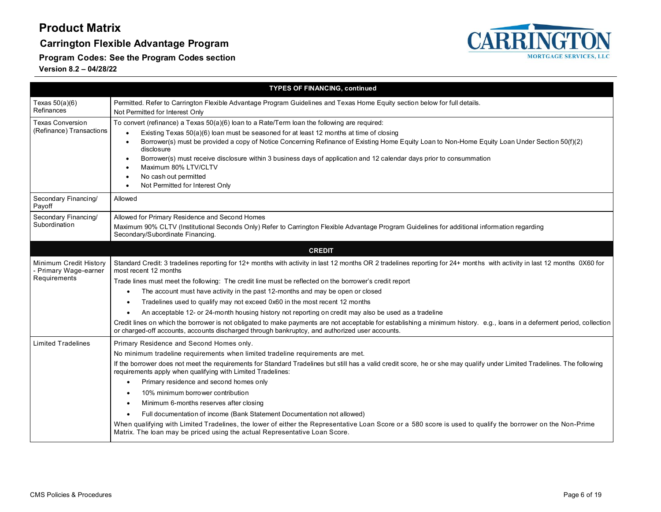### **Carrington Flexible Advantage Program**



**Program Codes: See the Program Codes section**

|                                                                 | <b>TYPES OF FINANCING, continued</b>                                                                                                                                                                                                                                                                                                                                                                                                                                                                                                                                |
|-----------------------------------------------------------------|---------------------------------------------------------------------------------------------------------------------------------------------------------------------------------------------------------------------------------------------------------------------------------------------------------------------------------------------------------------------------------------------------------------------------------------------------------------------------------------------------------------------------------------------------------------------|
| Texas $50(a)(6)$<br>Refinances                                  | Permitted. Refer to Carrington Flexible Advantage Program Guidelines and Texas Home Equity section below for full details.<br>Not Permitted for Interest Only                                                                                                                                                                                                                                                                                                                                                                                                       |
| <b>Texas Conversion</b><br>(Refinance) Transactions             | To convert (refinance) a Texas 50(a)(6) loan to a Rate/Term loan the following are required:<br>Existing Texas 50(a)(6) loan must be seasoned for at least 12 months at time of closing<br>Borrower(s) must be provided a copy of Notice Concerning Refinance of Existing Home Equity Loan to Non-Home Equity Loan Under Section 50(f)(2)<br>disclosure<br>Borrower(s) must receive disclosure within 3 business days of application and 12 calendar days prior to consummation<br>Maximum 80% LTV/CLTV<br>No cash out permitted<br>Not Permitted for Interest Only |
| Secondary Financing/<br>Payoff                                  | Allowed                                                                                                                                                                                                                                                                                                                                                                                                                                                                                                                                                             |
| Secondary Financing/<br>Subordination                           | Allowed for Primary Residence and Second Homes<br>Maximum 90% CLTV (Institutional Seconds Only) Refer to Carrington Flexible Advantage Program Guidelines for additional information regarding<br>Secondary/Subordinate Financing.                                                                                                                                                                                                                                                                                                                                  |
|                                                                 | <b>CREDIT</b>                                                                                                                                                                                                                                                                                                                                                                                                                                                                                                                                                       |
| Minimum Credit History<br>- Primary Wage-earner<br>Requirements | Standard Credit: 3 tradelines reporting for 12+ months with activity in last 12 months OR 2 tradelines reporting for 24+ months with activity in last 12 months OX60 for<br>most recent 12 months                                                                                                                                                                                                                                                                                                                                                                   |
|                                                                 | Trade lines must meet the following: The credit line must be reflected on the borrower's credit report                                                                                                                                                                                                                                                                                                                                                                                                                                                              |
|                                                                 | The account must have activity in the past 12-months and may be open or closed                                                                                                                                                                                                                                                                                                                                                                                                                                                                                      |
|                                                                 | Tradelines used to qualify may not exceed 0x60 in the most recent 12 months                                                                                                                                                                                                                                                                                                                                                                                                                                                                                         |
|                                                                 | An acceptable 12- or 24-month housing history not reporting on credit may also be used as a tradeline<br>Credit lines on which the borrower is not obligated to make payments are not acceptable for establishing a minimum history. e.g., loans in a deferment period, collection<br>or charged-off accounts, accounts discharged through bankruptcy, and authorized user accounts.                                                                                                                                                                                |
| <b>Limited Tradelines</b>                                       | Primary Residence and Second Homes only.                                                                                                                                                                                                                                                                                                                                                                                                                                                                                                                            |
|                                                                 | No minimum tradeline requirements when limited tradeline requirements are met.                                                                                                                                                                                                                                                                                                                                                                                                                                                                                      |
|                                                                 | If the borrower does not meet the requirements for Standard Tradelines but still has a valid credit score, he or she may qualify under Limited Tradelines. The following<br>requirements apply when qualifying with Limited Tradelines:                                                                                                                                                                                                                                                                                                                             |
|                                                                 | Primary residence and second homes only                                                                                                                                                                                                                                                                                                                                                                                                                                                                                                                             |
|                                                                 | 10% minimum borrower contribution                                                                                                                                                                                                                                                                                                                                                                                                                                                                                                                                   |
|                                                                 | Minimum 6-months reserves after closing                                                                                                                                                                                                                                                                                                                                                                                                                                                                                                                             |
|                                                                 | Full documentation of income (Bank Statement Documentation not allowed)                                                                                                                                                                                                                                                                                                                                                                                                                                                                                             |
|                                                                 | When qualifying with Limited Tradelines, the lower of either the Representative Loan Score or a 580 score is used to qualify the borrower on the Non-Prime<br>Matrix. The loan may be priced using the actual Representative Loan Score.                                                                                                                                                                                                                                                                                                                            |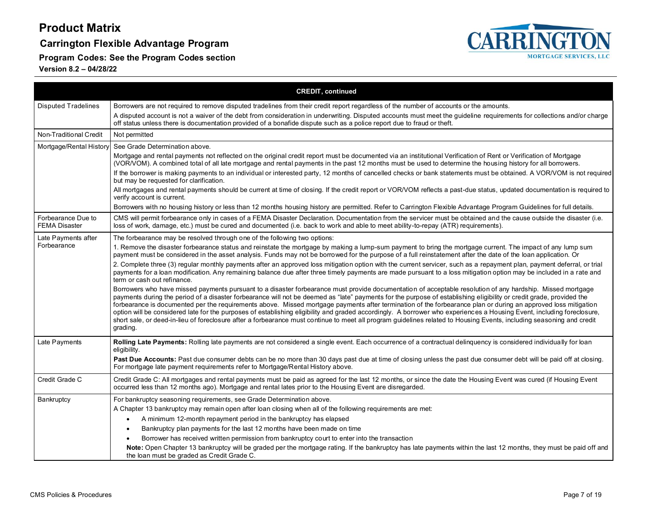**Carrington Flexible Advantage Program**

**Program Codes: See the Program Codes section**



|                                            | <b>CREDIT, continued</b>                                                                                                                                                                                                                                                                                                                                                                                                                                                                                                                                                                                                                                                                                                                                                                                                                                            |  |  |  |  |  |
|--------------------------------------------|---------------------------------------------------------------------------------------------------------------------------------------------------------------------------------------------------------------------------------------------------------------------------------------------------------------------------------------------------------------------------------------------------------------------------------------------------------------------------------------------------------------------------------------------------------------------------------------------------------------------------------------------------------------------------------------------------------------------------------------------------------------------------------------------------------------------------------------------------------------------|--|--|--|--|--|
| <b>Disputed Tradelines</b>                 | Borrowers are not required to remove disputed tradelines from their credit report regardless of the number of accounts or the amounts.                                                                                                                                                                                                                                                                                                                                                                                                                                                                                                                                                                                                                                                                                                                              |  |  |  |  |  |
|                                            | A disputed account is not a waiver of the debt from consideration in underwriting. Disputed accounts must meet the guideline requirements for collections and/or charge<br>off status unless there is documentation provided of a bonafide dispute such as a police report due to fraud or theft.                                                                                                                                                                                                                                                                                                                                                                                                                                                                                                                                                                   |  |  |  |  |  |
| Non-Traditional Credit                     | Not permitted                                                                                                                                                                                                                                                                                                                                                                                                                                                                                                                                                                                                                                                                                                                                                                                                                                                       |  |  |  |  |  |
| Mortgage/Rental History                    | See Grade Determination above.                                                                                                                                                                                                                                                                                                                                                                                                                                                                                                                                                                                                                                                                                                                                                                                                                                      |  |  |  |  |  |
|                                            | Mortgage and rental payments not reflected on the original credit report must be documented via an institutional Verification of Rent or Verification of Mortgage<br>(VOR/VOM). A combined total of all late mortgage and rental payments in the past 12 months must be used to determine the housing history for all borrowers.                                                                                                                                                                                                                                                                                                                                                                                                                                                                                                                                    |  |  |  |  |  |
|                                            | If the borrower is making payments to an individual or interested party, 12 months of cancelled checks or bank statements must be obtained. A VOR/VOM is not required<br>but may be requested for clarification.                                                                                                                                                                                                                                                                                                                                                                                                                                                                                                                                                                                                                                                    |  |  |  |  |  |
|                                            | All mortgages and rental payments should be current at time of closing. If the credit report or VOR/VOM reflects a past-due status, updated documentation is required to<br>verify account is current.                                                                                                                                                                                                                                                                                                                                                                                                                                                                                                                                                                                                                                                              |  |  |  |  |  |
|                                            | Borrowers with no housing history or less than 12 months housing history are permitted. Refer to Carrington Flexible Advantage Program Guidelines for full details.                                                                                                                                                                                                                                                                                                                                                                                                                                                                                                                                                                                                                                                                                                 |  |  |  |  |  |
| Forbearance Due to<br><b>FEMA Disaster</b> | CMS will permit forbearance only in cases of a FEMA Disaster Declaration. Documentation from the servicer must be obtained and the cause outside the disaster (i.e.<br>loss of work, damage, etc.) must be cured and documented (i.e. back to work and able to meet ability-to-repay (ATR) requirements).                                                                                                                                                                                                                                                                                                                                                                                                                                                                                                                                                           |  |  |  |  |  |
| Late Payments after                        | The forbearance may be resolved through one of the following two options:                                                                                                                                                                                                                                                                                                                                                                                                                                                                                                                                                                                                                                                                                                                                                                                           |  |  |  |  |  |
| Forbearance                                | 1. Remove the disaster forbearance status and reinstate the mortgage by making a lump-sum payment to bring the mortgage current. The impact of any lump sum<br>payment must be considered in the asset analysis. Funds may not be borrowed for the purpose of a full reinstatement after the date of the loan application. Or                                                                                                                                                                                                                                                                                                                                                                                                                                                                                                                                       |  |  |  |  |  |
|                                            | 2. Complete three (3) regular monthly payments after an approved loss mitigation option with the current servicer, such as a repayment plan, payment deferral, or trial<br>payments for a loan modification. Any remaining balance due after three timely payments are made pursuant to a loss mitigation option may be included in a rate and<br>term or cash out refinance.                                                                                                                                                                                                                                                                                                                                                                                                                                                                                       |  |  |  |  |  |
|                                            | Borrowers who have missed payments pursuant to a disaster forbearance must provide documentation of acceptable resolution of any hardship. Missed mortgage<br>payments during the period of a disaster forbearance will not be deemed as "late" payments for the purpose of establishing eligibility or credit grade, provided the<br>forbearance is documented per the requirements above. Missed mortgage payments after termination of the forbearance plan or during an approved loss mitigation<br>option will be considered late for the purposes of establishing eligibility and graded accordingly. A borrower who experiences a Housing Event, including foreclosure,<br>short sale, or deed-in-lieu of foreclosure after a forbearance must continue to meet all program quidelines related to Housing Events, including seasoning and credit<br>grading. |  |  |  |  |  |
| Late Payments                              | Rolling Late Payments: Rolling late payments are not considered a single event. Each occurrence of a contractual delinquency is considered individually for loan<br>eligibility.                                                                                                                                                                                                                                                                                                                                                                                                                                                                                                                                                                                                                                                                                    |  |  |  |  |  |
|                                            | Past Due Accounts: Past due consumer debts can be no more than 30 days past due at time of closing unless the past due consumer debt will be paid off at closing.<br>For mortgage late payment requirements refer to Mortgage/Rental History above.                                                                                                                                                                                                                                                                                                                                                                                                                                                                                                                                                                                                                 |  |  |  |  |  |
| Credit Grade C                             | Credit Grade C: All mortgages and rental payments must be paid as agreed for the last 12 months, or since the date the Housing Event was cured (if Housing Event<br>occurred less than 12 months ago). Mortgage and rental lates prior to the Housing Event are disregarded.                                                                                                                                                                                                                                                                                                                                                                                                                                                                                                                                                                                        |  |  |  |  |  |
| Bankruptcy                                 | For bankruptcy seasoning requirements, see Grade Determination above.                                                                                                                                                                                                                                                                                                                                                                                                                                                                                                                                                                                                                                                                                                                                                                                               |  |  |  |  |  |
|                                            | A Chapter 13 bankruptcy may remain open after loan closing when all of the following requirements are met:                                                                                                                                                                                                                                                                                                                                                                                                                                                                                                                                                                                                                                                                                                                                                          |  |  |  |  |  |
|                                            | A minimum 12-month repayment period in the bankruptcy has elapsed                                                                                                                                                                                                                                                                                                                                                                                                                                                                                                                                                                                                                                                                                                                                                                                                   |  |  |  |  |  |
|                                            | Bankruptcy plan payments for the last 12 months have been made on time                                                                                                                                                                                                                                                                                                                                                                                                                                                                                                                                                                                                                                                                                                                                                                                              |  |  |  |  |  |
|                                            | Borrower has received written permission from bankruptcy court to enter into the transaction                                                                                                                                                                                                                                                                                                                                                                                                                                                                                                                                                                                                                                                                                                                                                                        |  |  |  |  |  |
|                                            | Note: Open Chapter 13 bankruptcy will be graded per the mortgage rating. If the bankruptcy has late payments within the last 12 months, they must be paid off and<br>the loan must be graded as Credit Grade C.                                                                                                                                                                                                                                                                                                                                                                                                                                                                                                                                                                                                                                                     |  |  |  |  |  |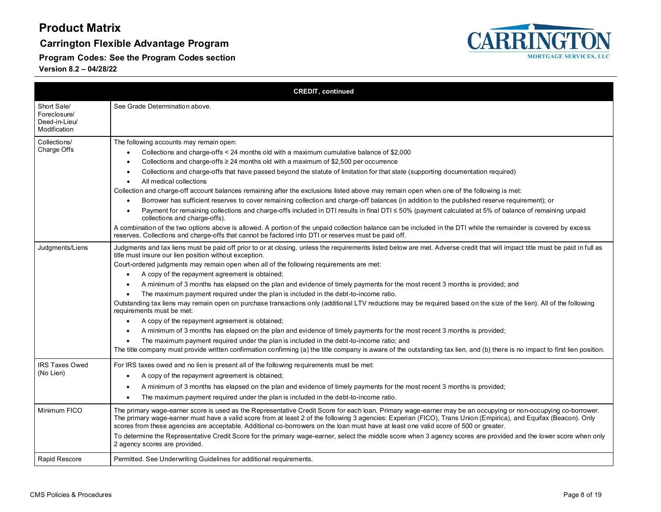**Carrington Flexible Advantage Program**

**Program Codes: See the Program Codes section**



|                                                              | <b>CREDIT, continued</b>                                                                                                                                                                                                                                                                                                                                                                                                                                                                                                                                                                                                                                                                                                                                                                                                                                                                                                                                                                                                                                                                                                                                                                                                                                                 |
|--------------------------------------------------------------|--------------------------------------------------------------------------------------------------------------------------------------------------------------------------------------------------------------------------------------------------------------------------------------------------------------------------------------------------------------------------------------------------------------------------------------------------------------------------------------------------------------------------------------------------------------------------------------------------------------------------------------------------------------------------------------------------------------------------------------------------------------------------------------------------------------------------------------------------------------------------------------------------------------------------------------------------------------------------------------------------------------------------------------------------------------------------------------------------------------------------------------------------------------------------------------------------------------------------------------------------------------------------|
| Short Sale/<br>Foreclosure/<br>Deed-in-Lieu/<br>Modification | See Grade Determination above.                                                                                                                                                                                                                                                                                                                                                                                                                                                                                                                                                                                                                                                                                                                                                                                                                                                                                                                                                                                                                                                                                                                                                                                                                                           |
| Collections/<br>Charge Offs                                  | The following accounts may remain open:<br>Collections and charge-offs $\leq$ 24 months old with a maximum cumulative balance of \$2,000<br>Collections and charge-offs $\geq$ 24 months old with a maximum of \$2,500 per occurrence<br>Collections and charge-offs that have passed beyond the statute of limitation for that state (supporting documentation required)<br>All medical collections<br>$\bullet$<br>Collection and charge-off account balances remaining after the exclusions listed above may remain open when one of the following is met:<br>Borrower has sufficient reserves to cover remaining collection and charge-off balances (in addition to the published reserve requirement); or<br>Payment for remaining collections and charge-offs included in DTI results in final DTI ≤ 50% (payment calculated at 5% of balance of remaining unpaid<br>collections and charge-offs).<br>A combination of the two options above is allowed. A portion of the unpaid collection balance can be included in the DTI while the remainder is covered by excess<br>reserves. Collections and charge-offs that cannot be factored into DTI or reserves must be paid off.                                                                                    |
| Judgments/Liens                                              | Judgments and tax liens must be paid off prior to or at closing, unless the requirements listed below are met. Adverse credit that will impact title must be paid in full as<br>title must insure our lien position without exception.<br>Court-ordered judgments may remain open when all of the following requirements are met:<br>A copy of the repayment agreement is obtained;<br>A minimum of 3 months has elapsed on the plan and evidence of timely payments for the most recent 3 months is provided; and<br>The maximum payment required under the plan is included in the debt-to-income ratio.<br>Outstanding tax liens may remain open on purchase transactions only (additional LTV reductions may be required based on the size of the lien). All of the following<br>requirements must be met:<br>A copy of the repayment agreement is obtained;<br>A minimum of 3 months has elapsed on the plan and evidence of timely payments for the most recent 3 months is provided;<br>The maximum payment required under the plan is included in the debt-to-income ratio; and<br>The title company must provide written confirmation confirming (a) the title company is aware of the outstanding tax lien, and (b) there is no impact to first lien position. |
| <b>IRS Taxes Owed</b><br>(No Lien)                           | For IRS taxes owed and no lien is present all of the following requirements must be met:<br>A copy of the repayment agreement is obtained;<br>A minimum of 3 months has elapsed on the plan and evidence of timely payments for the most recent 3 months is provided;<br>The maximum payment required under the plan is included in the debt-to-income ratio.                                                                                                                                                                                                                                                                                                                                                                                                                                                                                                                                                                                                                                                                                                                                                                                                                                                                                                            |
| Minimum FICO                                                 | The primary wage-earner score is used as the Representative Credit Score for each loan. Primary wage-earner may be an occupying or non-occupying co-borrower.<br>The primary wage-earner must have a valid score from at least 2 of the following 3 agencies: Experian (FICO), Trans Union (Empirica), and Equifax (Beacon). Only<br>scores from these agencies are acceptable. Additional co-borrowers on the loan must have at least one valid score of 500 or greater.<br>To determine the Representative Credit Score for the primary wage-earner, select the middle score when 3 agency scores are provided and the lower score when only<br>2 agency scores are provided.                                                                                                                                                                                                                                                                                                                                                                                                                                                                                                                                                                                          |
| Rapid Rescore                                                | Permitted. See Underwriting Guidelines for additional requirements.                                                                                                                                                                                                                                                                                                                                                                                                                                                                                                                                                                                                                                                                                                                                                                                                                                                                                                                                                                                                                                                                                                                                                                                                      |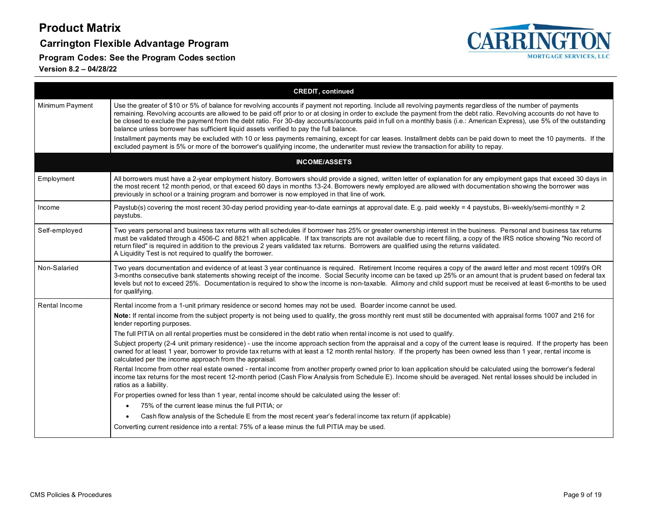### **Carrington Flexible Advantage Program**

**Program Codes: See the Program Codes section**



|                 | <b>CREDIT, continued</b>                                                                                                                                                                                                                                                                                                                                                                                                                                                                                                                                                                                    |  |  |  |
|-----------------|-------------------------------------------------------------------------------------------------------------------------------------------------------------------------------------------------------------------------------------------------------------------------------------------------------------------------------------------------------------------------------------------------------------------------------------------------------------------------------------------------------------------------------------------------------------------------------------------------------------|--|--|--|
| Minimum Payment | Use the greater of \$10 or 5% of balance for revolving accounts if payment not reporting. Include all revolving payments regardless of the number of payments<br>remaining. Revolving accounts are allowed to be paid off prior to or at closing in order to exclude the payment from the debt ratio. Revolving accounts do not have to<br>be closed to exclude the payment from the debt ratio. For 30-day accounts/accounts paid in full on a monthly basis (i.e.: American Express), use 5% of the outstanding<br>balance unless borrower has sufficient liquid assets verified to pay the full balance. |  |  |  |
|                 | Installment payments may be excluded with 10 or less payments remaining, except for car leases. Installment debts can be paid down to meet the 10 payments. If the<br>excluded payment is 5% or more of the borrower's qualifying income, the underwriter must review the transaction for ability to repay.                                                                                                                                                                                                                                                                                                 |  |  |  |
|                 | <b>INCOME/ASSETS</b>                                                                                                                                                                                                                                                                                                                                                                                                                                                                                                                                                                                        |  |  |  |
| Employment      | All borrowers must have a 2-year employment history. Borrowers should provide a signed, written letter of explanation for any employment gaps that exceed 30 days in<br>the most recent 12 month period, or that exceed 60 days in months 13-24. Borrowers newly employed are allowed with documentation showing the borrower was<br>previously in school or a training program and borrower is now employed in that line of work.                                                                                                                                                                          |  |  |  |
| Income          | Paystub(s) covering the most recent 30-day period providing year-to-date earnings at approval date. E.g. paid weekly = 4 paystubs, Bi-weekly/semi-monthly = 2<br>paystubs.                                                                                                                                                                                                                                                                                                                                                                                                                                  |  |  |  |
| Self-employed   | Two years personal and business tax returns with all schedules if borrower has 25% or greater ownership interest in the business. Personal and business tax returns<br>must be validated through a 4506-C and 8821 when applicable. If tax transcripts are not available due to recent filing, a copy of the IRS notice showing "No record of<br>return filed" is required in addition to the previous 2 years validated tax returns. Borrowers are qualified using the returns validated.<br>A Liquidity Test is not required to qualify the borrower.                                                     |  |  |  |
| Non-Salaried    | Two years documentation and evidence of at least 3 year continuance is required. Retirement Income requires a copy of the award letter and most recent 1099's OR<br>3-months consecutive bank statements showing receipt of the income. Social Security income can be taxed up 25% or an amount that is prudent based on federal tax<br>levels but not to exceed 25%. Documentation is required to show the income is non-taxable. Alimony and child support must be received at least 6-months to be used<br>for qualifying.                                                                               |  |  |  |
| Rental Income   | Rental income from a 1-unit primary residence or second homes may not be used. Boarder income cannot be used.                                                                                                                                                                                                                                                                                                                                                                                                                                                                                               |  |  |  |
|                 | Note: If rental income from the subject property is not being used to qualify, the gross monthly rent must still be documented with appraisal forms 1007 and 216 for<br>lender reporting purposes.                                                                                                                                                                                                                                                                                                                                                                                                          |  |  |  |
|                 | The full PITIA on all rental properties must be considered in the debt ratio when rental income is not used to qualify.                                                                                                                                                                                                                                                                                                                                                                                                                                                                                     |  |  |  |
|                 | Subject property (2-4 unit primary residence) - use the income approach section from the appraisal and a copy of the current lease is required. If the property has been<br>owned for at least 1 year, borrower to provide tax returns with at least a 12 month rental history. If the property has been owned less than 1 year, rental income is<br>calculated per the income approach from the appraisal.                                                                                                                                                                                                 |  |  |  |
|                 | Rental Income from other real estate owned - rental income from another property owned prior to loan application should be calculated using the borrower's federal<br>income tax returns for the most recent 12-month period (Cash Flow Analysis from Schedule E). Income should be averaged. Net rental losses should be included in<br>ratios as a liability.                                                                                                                                                                                                                                             |  |  |  |
|                 | For properties owned for less than 1 year, rental income should be calculated using the lesser of:                                                                                                                                                                                                                                                                                                                                                                                                                                                                                                          |  |  |  |
|                 | 75% of the current lease minus the full PITIA; or<br>$\bullet$                                                                                                                                                                                                                                                                                                                                                                                                                                                                                                                                              |  |  |  |
|                 | Cash flow analysis of the Schedule E from the most recent year's federal income tax return (if applicable)                                                                                                                                                                                                                                                                                                                                                                                                                                                                                                  |  |  |  |
|                 | Converting current residence into a rental: 75% of a lease minus the full PITIA may be used.                                                                                                                                                                                                                                                                                                                                                                                                                                                                                                                |  |  |  |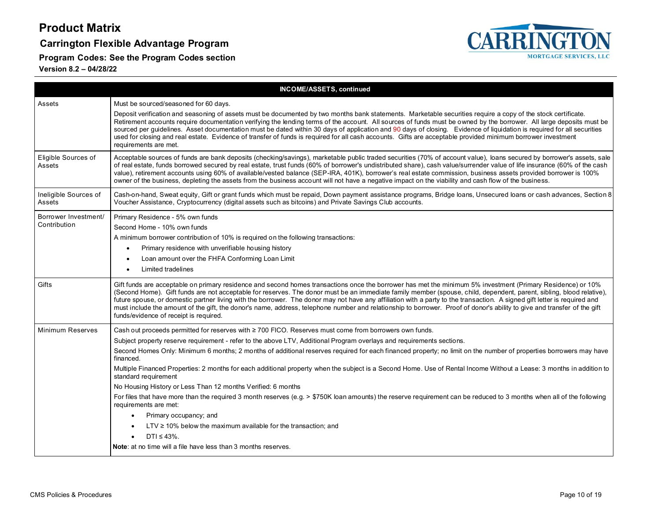### **Carrington Flexible Advantage Program**

**Program Codes: See the Program Codes section**



| <b>INCOME/ASSETS, continued</b>      |                                                                                                                                                                                                                                                                                                                                                                                                                                                                                                                                                                                                                                                                                                                                                   |  |  |  |
|--------------------------------------|---------------------------------------------------------------------------------------------------------------------------------------------------------------------------------------------------------------------------------------------------------------------------------------------------------------------------------------------------------------------------------------------------------------------------------------------------------------------------------------------------------------------------------------------------------------------------------------------------------------------------------------------------------------------------------------------------------------------------------------------------|--|--|--|
| Assets                               | Must be sourced/seasoned for 60 days.<br>Deposit verification and seasoning of assets must be documented by two months bank statements. Marketable securities require a copy of the stock certificate.<br>Retirement accounts require documentation verifying the lending terms of the account. All sources of funds must be owned by the borrower. All large deposits must be<br>sourced per guidelines. Asset documentation must be dated within 30 days of application and 90 days of closing. Evidence of liquidation is required for all securities<br>used for closing and real estate. Evidence of transfer of funds is required for all cash accounts. Gifts are acceptable provided minimum borrower investment<br>requirements are met. |  |  |  |
| Eligible Sources of<br>Assets        | Acceptable sources of funds are bank deposits (checking/savings), marketable public traded securities (70% of account value), loans secured by borrower's assets, sale<br>of real estate, funds borrowed secured by real estate, trust funds (60% of borrower's undistributed share), cash value/surrender value of life insurance (60% of the cash<br>value), retirement accounts using 60% of available/vested balance (SEP-IRA, 401K), borrower's real estate commission, business assets provided borrower is 100%<br>owner of the business, depleting the assets from the business account will not have a negative impact on the viability and cash flow of the business.                                                                   |  |  |  |
| Ineligible Sources of<br>Assets      | Cash-on-hand, Sweat equity, Gift or grant funds which must be repaid, Down payment assistance programs, Bridge loans, Unsecured loans or cash advances, Section 8<br>Voucher Assistance, Cryptocurrency (digital assets such as bitcoins) and Private Savings Club accounts.                                                                                                                                                                                                                                                                                                                                                                                                                                                                      |  |  |  |
| Borrower Investment/<br>Contribution | Primary Residence - 5% own funds<br>Second Home - 10% own funds<br>A minimum borrower contribution of 10% is required on the following transactions:<br>Primary residence with unverifiable housing history<br>Loan amount over the FHFA Conforming Loan Limit<br>Limited tradelines<br>$\bullet$                                                                                                                                                                                                                                                                                                                                                                                                                                                 |  |  |  |
| Gifts                                | Gift funds are acceptable on primary residence and second homes transactions once the borrower has met the minimum 5% investment (Primary Residence) or 10%<br>(Second Home). Gift funds are not acceptable for reserves. The donor must be an immediate family member (spouse, child, dependent, parent, sibling, blood relative),<br>future spouse, or domestic partner living with the borrower. The donor may not have any affiliation with a party to the transaction. A signed gift letter is required and<br>must include the amount of the gift, the donor's name, address, telephone number and relationship to borrower. Proof of donor's ability to give and transfer of the gift<br>funds/evidence of receipt is required.            |  |  |  |
| <b>Minimum Reserves</b>              | Cash out proceeds permitted for reserves with ≥ 700 FICO. Reserves must come from borrowers own funds.                                                                                                                                                                                                                                                                                                                                                                                                                                                                                                                                                                                                                                            |  |  |  |
|                                      | Subject property reserve requirement - refer to the above LTV, Additional Program overlays and requirements sections.<br>Second Homes Only: Minimum 6 months; 2 months of additional reserves required for each financed property; no limit on the number of properties borrowers may have<br>financed.<br>Multiple Financed Properties: 2 months for each additional property when the subject is a Second Home. Use of Rental Income Without a Lease: 3 months in addition to<br>standard requirement                                                                                                                                                                                                                                           |  |  |  |
|                                      | No Housing History or Less Than 12 months Verified: 6 months                                                                                                                                                                                                                                                                                                                                                                                                                                                                                                                                                                                                                                                                                      |  |  |  |
|                                      | For files that have more than the required 3 month reserves (e.g. > \$750K loan amounts) the reserve requirement can be reduced to 3 months when all of the following<br>requirements are met:                                                                                                                                                                                                                                                                                                                                                                                                                                                                                                                                                    |  |  |  |
|                                      | Primary occupancy; and                                                                                                                                                                                                                                                                                                                                                                                                                                                                                                                                                                                                                                                                                                                            |  |  |  |
|                                      | $LTV \ge 10\%$ below the maximum available for the transaction; and                                                                                                                                                                                                                                                                                                                                                                                                                                                                                                                                                                                                                                                                               |  |  |  |
|                                      | $DTI \leq 43\%$ .                                                                                                                                                                                                                                                                                                                                                                                                                                                                                                                                                                                                                                                                                                                                 |  |  |  |
|                                      | <b>Note:</b> at no time will a file have less than 3 months reserves.                                                                                                                                                                                                                                                                                                                                                                                                                                                                                                                                                                                                                                                                             |  |  |  |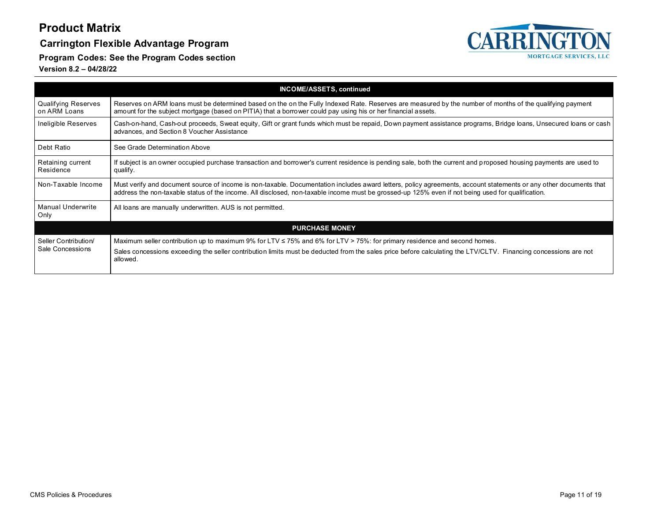### **Carrington Flexible Advantage Program**

CARRINGTON **MORTGAGE SERVICES, LLC** 

**Program Codes: See the Program Codes section**

|                                            | <b>INCOME/ASSETS, continued</b>                                                                                                                                                                                                                                                                                        |  |  |  |
|--------------------------------------------|------------------------------------------------------------------------------------------------------------------------------------------------------------------------------------------------------------------------------------------------------------------------------------------------------------------------|--|--|--|
| <b>Qualifying Reserves</b><br>on ARM Loans | Reserves on ARM loans must be determined based on the on the Fully Indexed Rate. Reserves are measured by the number of months of the qualifying payment<br>amount for the subject mortgage (based on PITIA) that a borrower could pay using his or her financial assets.                                              |  |  |  |
| Ineligible Reserves                        | Cash-on-hand, Cash-out proceeds, Sweat equity, Gift or grant funds which must be repaid, Down payment assistance programs, Bridge loans, Unsecured loans or cash<br>advances, and Section 8 Voucher Assistance                                                                                                         |  |  |  |
| Debt Ratio                                 | See Grade Determination Above                                                                                                                                                                                                                                                                                          |  |  |  |
| Retaining current<br>Residence             | If subject is an owner occupied purchase transaction and borrower's current residence is pending sale, both the current and proposed housing payments are used to<br>qualify.                                                                                                                                          |  |  |  |
| Non-Taxable Income                         | Must verify and document source of income is non-taxable. Documentation includes award letters, policy agreements, account statements or any other documents that<br>address the non-taxable status of the income. All disclosed, non-taxable income must be grossed-up 125% even if not being used for qualification. |  |  |  |
| <b>Manual Underwrite</b><br>Only           | All loans are manually underwritten. AUS is not permitted.                                                                                                                                                                                                                                                             |  |  |  |
|                                            | <b>PURCHASE MONEY</b>                                                                                                                                                                                                                                                                                                  |  |  |  |
| Seller Contribution/<br>Sale Concessions   | Maximum seller contribution up to maximum 9% for LTV $\leq$ 75% and 6% for LTV > 75%: for primary residence and second homes.<br>Sales concessions exceeding the seller contribution limits must be deducted from the sales price before calculating the LTV/CLTV. Financing concessions are not<br>allowed.           |  |  |  |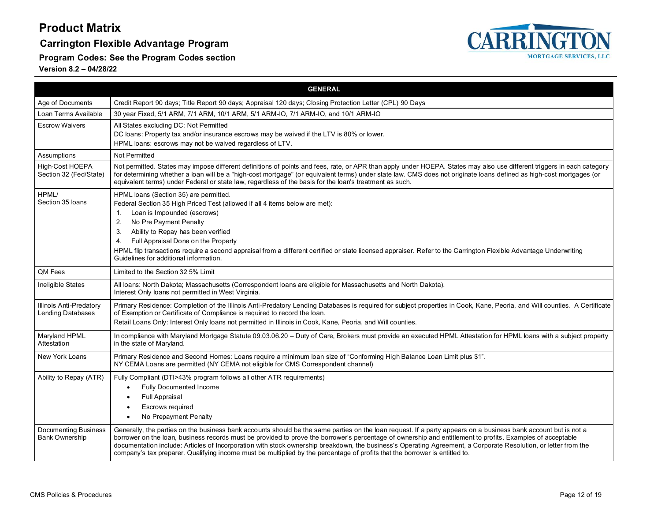### **Carrington Flexible Advantage Program**



**Program Codes: See the Program Codes section**

<span id="page-11-0"></span>

|                                               | <b>GENERAL</b>                                                                                                                                                                                                                                                                                                                                                                                                                                                                                                                                                                                                                  |  |  |  |  |
|-----------------------------------------------|---------------------------------------------------------------------------------------------------------------------------------------------------------------------------------------------------------------------------------------------------------------------------------------------------------------------------------------------------------------------------------------------------------------------------------------------------------------------------------------------------------------------------------------------------------------------------------------------------------------------------------|--|--|--|--|
| Age of Documents                              | Credit Report 90 days; Title Report 90 days; Appraisal 120 days; Closing Protection Letter (CPL) 90 Days                                                                                                                                                                                                                                                                                                                                                                                                                                                                                                                        |  |  |  |  |
| Loan Terms Available                          | 30 year Fixed, 5/1 ARM, 7/1 ARM, 10/1 ARM, 5/1 ARM-IO, 7/1 ARM-IO, and 10/1 ARM-IO                                                                                                                                                                                                                                                                                                                                                                                                                                                                                                                                              |  |  |  |  |
| <b>Escrow Waivers</b>                         | All States excluding DC: Not Permitted<br>DC loans: Property tax and/or insurance escrows may be waived if the LTV is 80% or lower.<br>HPML loans: escrows may not be waived regardless of LTV.                                                                                                                                                                                                                                                                                                                                                                                                                                 |  |  |  |  |
| Assumptions                                   | Not Permitted                                                                                                                                                                                                                                                                                                                                                                                                                                                                                                                                                                                                                   |  |  |  |  |
| High-Cost HOEPA<br>Section 32 (Fed/State)     | Not permitted. States may impose different definitions of points and fees, rate, or APR than apply under HOEPA. States may also use different triggers in each category<br>for determining whether a loan will be a "high-cost mortgage" (or equivalent terms) under state law. CMS does not originate loans defined as high-cost mortgages (or<br>equivalent terms) under Federal or state law, regardless of the basis for the loan's treatment as such.                                                                                                                                                                      |  |  |  |  |
| HPML/<br>Section 35 loans                     | HPML loans (Section 35) are permitted.<br>Federal Section 35 High Priced Test (allowed if all 4 items below are met):<br>Loan is Impounded (escrows)<br>$\mathbf{1}$ .<br>2.<br>No Pre Payment Penalty<br>Ability to Repay has been verified<br>3.<br>Full Appraisal Done on the Property<br>4.<br>HPML flip transactions require a second appraisal from a different certified or state licensed appraiser. Refer to the Carrington Flexible Advantage Underwriting<br>Guidelines for additional information.                                                                                                                  |  |  |  |  |
| QM Fees                                       | Limited to the Section 32 5% Limit                                                                                                                                                                                                                                                                                                                                                                                                                                                                                                                                                                                              |  |  |  |  |
| Ineligible States                             | All loans: North Dakota; Massachusetts (Correspondent loans are eligible for Massachusetts and North Dakota).<br>Interest Only loans not permitted in West Virginia.                                                                                                                                                                                                                                                                                                                                                                                                                                                            |  |  |  |  |
| Illinois Anti-Predatory<br>Lending Databases  | Primary Residence: Completion of the Illinois Anti-Predatory Lending Databases is required for subject properties in Cook, Kane, Peoria, and Will counties. A Certificate<br>of Exemption or Certificate of Compliance is required to record the loan.<br>Retail Loans Only: Interest Only loans not permitted in Illinois in Cook, Kane, Peoria, and Will counties.                                                                                                                                                                                                                                                            |  |  |  |  |
| Maryland HPML<br>Attestation                  | In compliance with Maryland Mortgage Statute 09.03.06.20 - Duty of Care, Brokers must provide an executed HPML Attestation for HPML loans with a subject property<br>in the state of Maryland.                                                                                                                                                                                                                                                                                                                                                                                                                                  |  |  |  |  |
| New York Loans                                | Primary Residence and Second Homes: Loans require a minimum loan size of "Conforming High Balance Loan Limit plus \$1".<br>NY CEMA Loans are permitted (NY CEMA not eligible for CMS Correspondent channel)                                                                                                                                                                                                                                                                                                                                                                                                                     |  |  |  |  |
| Ability to Repay (ATR)                        | Fully Compliant (DTI>43% program follows all other ATR requirements)<br><b>Fully Documented Income</b><br><b>Full Appraisal</b><br>Escrows required<br>$\bullet$<br>No Prepayment Penalty<br>$\bullet$                                                                                                                                                                                                                                                                                                                                                                                                                          |  |  |  |  |
| Documenting Business<br><b>Bank Ownership</b> | Generally, the parties on the business bank accounts should be the same parties on the loan request. If a party appears on a business bank account but is not a<br>borrower on the loan, business records must be provided to prove the borrower's percentage of ownership and entitlement to profits. Examples of acceptable<br>documentation include: Articles of Incorporation with stock ownership breakdown, the business's Operating Agreement, a Corporate Resolution, or letter from the<br>company's tax preparer. Qualifying income must be multiplied by the percentage of profits that the borrower is entitled to. |  |  |  |  |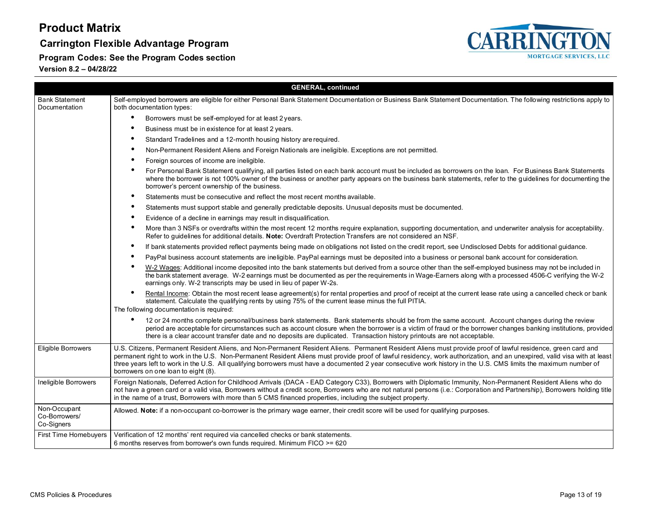### **Carrington Flexible Advantage Program**

**Program Codes: See the Program Codes section**



|                                             | <b>GENERAL, continued</b>                                                                                                                                                                                                                                                                                                                                                                                                                                                                                                                             |  |  |  |
|---------------------------------------------|-------------------------------------------------------------------------------------------------------------------------------------------------------------------------------------------------------------------------------------------------------------------------------------------------------------------------------------------------------------------------------------------------------------------------------------------------------------------------------------------------------------------------------------------------------|--|--|--|
| <b>Bank Statement</b><br>Documentation      | Self-employed borrowers are eligible for either Personal Bank Statement Documentation or Business Bank Statement Documentation. The following restrictions apply to<br>both documentation types:                                                                                                                                                                                                                                                                                                                                                      |  |  |  |
|                                             | Borrowers must be self-employed for at least 2 years.                                                                                                                                                                                                                                                                                                                                                                                                                                                                                                 |  |  |  |
|                                             | ٠<br>Business must be in existence for at least 2 years.                                                                                                                                                                                                                                                                                                                                                                                                                                                                                              |  |  |  |
|                                             | Standard Tradelines and a 12-month housing history are required.                                                                                                                                                                                                                                                                                                                                                                                                                                                                                      |  |  |  |
|                                             | Non-Permanent Resident Aliens and Foreign Nationals are ineligible. Exceptions are not permitted.                                                                                                                                                                                                                                                                                                                                                                                                                                                     |  |  |  |
|                                             | Foreign sources of income are ineligible.                                                                                                                                                                                                                                                                                                                                                                                                                                                                                                             |  |  |  |
|                                             | For Personal Bank Statement qualifying, all parties listed on each bank account must be included as borrowers on the loan. For Business Bank Statements<br>where the borrower is not 100% owner of the business or another party appears on the business bank statements, refer to the guidelines for documenting the<br>borrower's percent ownership of the business.                                                                                                                                                                                |  |  |  |
|                                             | Statements must be consecutive and reflect the most recent months available.<br>$\bullet$                                                                                                                                                                                                                                                                                                                                                                                                                                                             |  |  |  |
|                                             | Statements must support stable and generally predictable deposits. Unusual deposits must be documented.                                                                                                                                                                                                                                                                                                                                                                                                                                               |  |  |  |
|                                             | Evidence of a decline in earnings may result in disqualification.                                                                                                                                                                                                                                                                                                                                                                                                                                                                                     |  |  |  |
|                                             | More than 3 NSFs or overdrafts within the most recent 12 months require explanation, supporting documentation, and underwriter analysis for acceptability.<br>Refer to quidelines for additional details. Note: Overdraft Protection Transfers are not considered an NSF.                                                                                                                                                                                                                                                                             |  |  |  |
|                                             | ٠<br>If bank statements provided reflect payments being made on obligations not listed on the credit report, see Undisclosed Debts for additional guidance.                                                                                                                                                                                                                                                                                                                                                                                           |  |  |  |
|                                             | PayPal business account statements are ineligible. PayPal earnings must be deposited into a business or personal bank account for consideration.<br>$\bullet$                                                                                                                                                                                                                                                                                                                                                                                         |  |  |  |
|                                             | W-2 Wages: Additional income deposited into the bank statements but derived from a source other than the self-employed business may not be included in<br>the bank statement average. W-2 earnings must be documented as per the requirements in Wage-Earners along with a processed 4506-C verifying the W-2<br>earnings only. W-2 transcripts may be used in lieu of paper W-2s.                                                                                                                                                                    |  |  |  |
|                                             | Rental Income: Obtain the most recent lease agreement(s) for rental properties and proof of receipt at the current lease rate using a cancelled check or bank<br>statement. Calculate the qualifying rents by using 75% of the current lease minus the full PITIA.<br>The following documentation is required:                                                                                                                                                                                                                                        |  |  |  |
|                                             | 12 or 24 months complete personal/business bank statements. Bank statements should be from the same account. Account changes during the review<br>period are acceptable for circumstances such as account closure when the borrower is a victim of fraud or the borrower changes banking institutions, provided<br>there is a clear account transfer date and no deposits are duplicated. Transaction history printouts are not acceptable.                                                                                                           |  |  |  |
| <b>Eligible Borrowers</b>                   | U.S. Citizens, Permanent Resident Aliens, and Non-Permanent Resident Aliens. Permanent Resident Aliens must provide proof of lawful residence, green card and<br>permanent right to work in the U.S. Non-Permanent Resident Aliens must provide proof of lawful residency, work authorization, and an unexpired, valid visa with at least<br>three years left to work in the U.S. All qualifying borrowers must have a documented 2 year consecutive work history in the U.S. CMS limits the maximum number of<br>borrowers on one loan to eight (8). |  |  |  |
| Ineligible Borrowers                        | Foreign Nationals, Deferred Action for Childhood Arrivals (DACA - EAD Category C33), Borrowers with Diplomatic Immunity, Non-Permanent Resident Aliens who do<br>not have a green card or a valid visa, Borrowers without a credit score, Borrowers who are not natural persons (i.e.: Corporation and Partnership), Borrowers holding title<br>in the name of a trust, Borrowers with more than 5 CMS financed properties, including the subject property.                                                                                           |  |  |  |
| Non-Occupant<br>Co-Borrowers/<br>Co-Signers | Allowed. Note: if a non-occupant co-borrower is the primary wage earner, their credit score will be used for qualifying purposes.                                                                                                                                                                                                                                                                                                                                                                                                                     |  |  |  |
| First Time Homebuyers                       | Verification of 12 months' rent required via cancelled checks or bank statements.<br>6 months reserves from borrower's own funds required. Minimum FICO >= 620                                                                                                                                                                                                                                                                                                                                                                                        |  |  |  |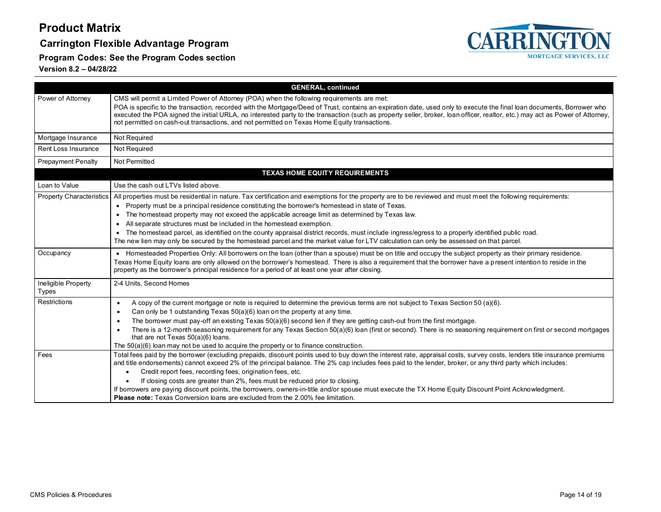### **Carrington Flexible Advantage Program**



**Program Codes: See the Program Codes section**

|                                     | <b>GENERAL, continued</b>                                                                                                                                                                                                                                                                                                                                                                                                                                                                                                                                                                                                                                                                                                                           |  |  |  |  |  |
|-------------------------------------|-----------------------------------------------------------------------------------------------------------------------------------------------------------------------------------------------------------------------------------------------------------------------------------------------------------------------------------------------------------------------------------------------------------------------------------------------------------------------------------------------------------------------------------------------------------------------------------------------------------------------------------------------------------------------------------------------------------------------------------------------------|--|--|--|--|--|
| Power of Attorney                   | CMS will permit a Limited Power of Attorney (POA) when the following requirements are met:<br>POA is specific to the transaction, recorded with the Mortgage/Deed of Trust, contains an expiration date, used only to execute the final loan documents, Borrower who<br>executed the POA signed the initial URLA, no interested party to the transaction (such as property seller, broker, loan officer, realtor, etc.) may act as Power of Attorney,<br>not permitted on cash-out transactions, and not permitted on Texas Home Equity transactions.                                                                                                                                                                                               |  |  |  |  |  |
| Mortgage Insurance                  | Not Required                                                                                                                                                                                                                                                                                                                                                                                                                                                                                                                                                                                                                                                                                                                                        |  |  |  |  |  |
| Rent Loss Insurance                 | Not Required                                                                                                                                                                                                                                                                                                                                                                                                                                                                                                                                                                                                                                                                                                                                        |  |  |  |  |  |
| <b>Prepayment Penalty</b>           | Not Permitted                                                                                                                                                                                                                                                                                                                                                                                                                                                                                                                                                                                                                                                                                                                                       |  |  |  |  |  |
|                                     | <b>TEXAS HOME EQUITY REQUIREMENTS</b>                                                                                                                                                                                                                                                                                                                                                                                                                                                                                                                                                                                                                                                                                                               |  |  |  |  |  |
| Loan to Value                       | Use the cash out LTVs listed above.                                                                                                                                                                                                                                                                                                                                                                                                                                                                                                                                                                                                                                                                                                                 |  |  |  |  |  |
| <b>Property Characteristics</b>     | All properties must be residential in nature. Tax certification and exemptions for the property are to be reviewed and must meet the following requirements:<br>• Property must be a principal residence constituting the borrower's homestead in state of Texas.<br>• The homestead property may not exceed the applicable acreage limit as determined by Texas law.<br>• All separate structures must be included in the homestead exemption.<br>• The homestead parcel, as identified on the county appraisal district records, must include ingress/egress to a properly identified public road.<br>The new lien may only be secured by the homestead parcel and the market value for LTV calculation can only be assessed on that parcel.      |  |  |  |  |  |
| Occupancy                           | • Homesteaded Properties Only: All borrowers on the loan (other than a spouse) must be on title and occupy the subject property as their primary residence.<br>Texas Home Equity loans are only allowed on the borrower's homestead. There is also a requirement that the borrower have a present intention to reside in the<br>property as the borrower's principal residence for a period of at least one year after closing.                                                                                                                                                                                                                                                                                                                     |  |  |  |  |  |
| Ineligible Property<br><b>Types</b> | 2-4 Units, Second Homes                                                                                                                                                                                                                                                                                                                                                                                                                                                                                                                                                                                                                                                                                                                             |  |  |  |  |  |
| Restrictions                        | A copy of the current mortgage or note is required to determine the previous terms are not subject to Texas Section 50 (a)(6).<br>$\bullet$<br>Can only be 1 outstanding Texas 50(a)(6) loan on the property at any time.<br>$\bullet$<br>The borrower must pay-off an existing Texas $50(a)(6)$ second lien if they are getting cash-out from the first mortgage.<br>$\bullet$<br>There is a 12-month seasoning requirement for any Texas Section 50(a)(6) loan (first or second). There is no seasoning requirement on first or second mortgages<br>$\bullet$<br>that are not Texas 50(a)(6) loans.<br>The $50(a)(6)$ loan may not be used to acquire the property or to finance construction.                                                    |  |  |  |  |  |
| Fees                                | Total fees paid by the borrower (excluding prepaids, discount points used to buy down the interest rate, appraisal costs, survey costs, lenders title insurance premiums<br>and title endorsements) cannot exceed 2% of the principal balance. The 2% cap includes fees paid to the lender, broker, or any third party which includes:<br>Credit report fees, recording fees, origination fees, etc.<br>$\bullet$<br>If closing costs are greater than 2%, fees must be reduced prior to closing.<br>If borrowers are paying discount points, the borrowers, owners-in-title and/or spouse must execute the TX Home Equity Discount Point Acknowledgment.<br><b>Please note:</b> Texas Conversion loans are excluded from the 2.00% fee limitation. |  |  |  |  |  |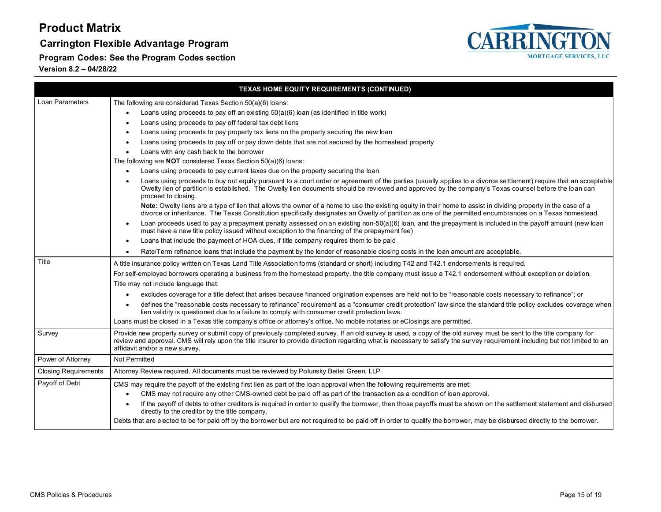**Carrington Flexible Advantage Program**

**Program Codes: See the Program Codes section**



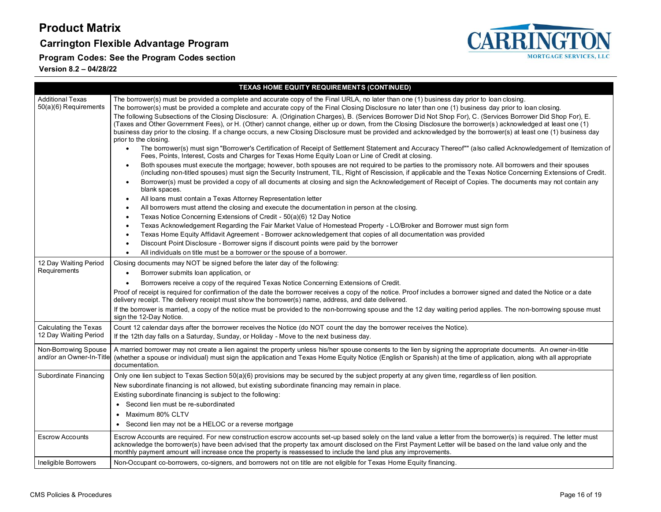### **Carrington Flexible Advantage Program**



**Program Codes: See the Program Codes section**

|                                                  | <b>TEXAS HOME EQUITY REQUIREMENTS (CONTINUED)</b>                                                                                                                                                                                                                                                                                                                                                                                                                                                                                                                                                                                                                                                                                                                                                                                                                                                                                                                                                                                                                                                                                                                                                                                                                                                                                                                                                                                                                                                                                                                                                                                                                                                            |  |  |  |  |
|--------------------------------------------------|--------------------------------------------------------------------------------------------------------------------------------------------------------------------------------------------------------------------------------------------------------------------------------------------------------------------------------------------------------------------------------------------------------------------------------------------------------------------------------------------------------------------------------------------------------------------------------------------------------------------------------------------------------------------------------------------------------------------------------------------------------------------------------------------------------------------------------------------------------------------------------------------------------------------------------------------------------------------------------------------------------------------------------------------------------------------------------------------------------------------------------------------------------------------------------------------------------------------------------------------------------------------------------------------------------------------------------------------------------------------------------------------------------------------------------------------------------------------------------------------------------------------------------------------------------------------------------------------------------------------------------------------------------------------------------------------------------------|--|--|--|--|
| <b>Additional Texas</b><br>50(a)(6) Requirements | The borrower(s) must be provided a complete and accurate copy of the Final URLA, no later than one (1) business day prior to loan closing.<br>The borrower(s) must be provided a complete and accurate copy of the Final Closing Disclosure no later than one (1) business day prior to loan closing.<br>The following Subsections of the Closing Disclosure: A. (Origination Charges), B. (Services Borrower Did Not Shop For), C. (Services Borrower Did Shop For), E.<br>(Taxes and Other Government Fees), or H. (Other) cannot change, either up or down, from the Closing Disclosure the borrower(s) acknowledged at least one (1)<br>business day prior to the closing. If a change occurs, a new Closing Disclosure must be provided and acknowledged by the borrower(s) at least one (1) business day<br>prior to the closing.<br>The borrower(s) must sign "Borrower's Certification of Receipt of Settlement Statement and Accuracy Thereof"" (also called Acknowledgement of Itemization of<br>Fees, Points, Interest, Costs and Charges for Texas Home Equity Loan or Line of Credit at closing.<br>Both spouses must execute the mortgage; however, both spouses are not required to be parties to the promissory note. All borrowers and their spouses<br>(including non-titled spouses) must sign the Security Instrument, TIL, Right of Rescission, if applicable and the Texas Notice Concerning Extensions of Credit.<br>Borrower(s) must be provided a copy of all documents at closing and sign the Acknowledgement of Receipt of Copies. The documents may not contain any<br>$\bullet$<br>blank spaces.<br>All loans must contain a Texas Attorney Representation letter<br>$\bullet$ |  |  |  |  |
|                                                  | All borrowers must attend the closing and execute the documentation in person at the closing.<br>Texas Notice Concerning Extensions of Credit - 50(a)(6) 12 Day Notice<br>$\bullet$<br>Texas Acknowledgement Regarding the Fair Market Value of Homestead Property - LO/Broker and Borrower must sign form<br>$\bullet$<br>Texas Home Equity Affidavit Agreement - Borrower acknowledgement that copies of all documentation was provided<br>$\bullet$<br>Discount Point Disclosure - Borrower signs if discount points were paid by the borrower<br>$\bullet$<br>All individuals on title must be a borrower or the spouse of a borrower.<br>$\bullet$                                                                                                                                                                                                                                                                                                                                                                                                                                                                                                                                                                                                                                                                                                                                                                                                                                                                                                                                                                                                                                                      |  |  |  |  |
| 12 Day Waiting Period<br>Requirements            | Closing documents may NOT be signed before the later day of the following:<br>Borrower submits loan application, or<br>$\bullet$<br>Borrowers receive a copy of the required Texas Notice Concerning Extensions of Credit.<br>$\bullet$<br>Proof of receipt is required for confirmation of the date the borrower receives a copy of the notice. Proof includes a borrower signed and dated the Notice or a date<br>delivery receipt. The delivery receipt must show the borrower(s) name, address, and date delivered.<br>If the borrower is married, a copy of the notice must be provided to the non-borrowing spouse and the 12 day waiting period applies. The non-borrowing spouse must<br>sign the 12-Day Notice.                                                                                                                                                                                                                                                                                                                                                                                                                                                                                                                                                                                                                                                                                                                                                                                                                                                                                                                                                                                     |  |  |  |  |
| Calculating the Texas<br>12 Day Waiting Period   | Count 12 calendar days after the borrower receives the Notice (do NOT count the day the borrower receives the Notice).<br>If the 12th day falls on a Saturday, Sunday, or Holiday - Move to the next business day.                                                                                                                                                                                                                                                                                                                                                                                                                                                                                                                                                                                                                                                                                                                                                                                                                                                                                                                                                                                                                                                                                                                                                                                                                                                                                                                                                                                                                                                                                           |  |  |  |  |
| Non-Borrowing Spouse<br>and/or an Owner-In-Title | A married borrower may not create a lien against the property unless his/her spouse consents to the lien by signing the appropriate documents. An owner-in-title<br>(whether a spouse or individual) must sign the application and Texas Home Equity Notice (English or Spanish) at the time of application, along with all appropriate<br>documentation.                                                                                                                                                                                                                                                                                                                                                                                                                                                                                                                                                                                                                                                                                                                                                                                                                                                                                                                                                                                                                                                                                                                                                                                                                                                                                                                                                    |  |  |  |  |
| Subordinate Financing                            | Only one lien subject to Texas Section 50(a)(6) provisions may be secured by the subject property at any given time, regardless of lien position.<br>New subordinate financing is not allowed, but existing subordinate financing may remain in place.<br>Existing subordinate financing is subject to the following:<br>• Second lien must be re-subordinated<br>• Maximum 80% CLTV<br>• Second lien may not be a HELOC or a reverse mortgage                                                                                                                                                                                                                                                                                                                                                                                                                                                                                                                                                                                                                                                                                                                                                                                                                                                                                                                                                                                                                                                                                                                                                                                                                                                               |  |  |  |  |
| <b>Escrow Accounts</b>                           | Escrow Accounts are required. For new construction escrow accounts set-up based solely on the land value a letter from the borrower(s) is required. The letter must<br>acknowledge the borrower(s) have been advised that the property tax amount disclosed on the First Payment Letter will be based on the land value only and the<br>monthly payment amount will increase once the property is reassessed to include the land plus any improvements.                                                                                                                                                                                                                                                                                                                                                                                                                                                                                                                                                                                                                                                                                                                                                                                                                                                                                                                                                                                                                                                                                                                                                                                                                                                      |  |  |  |  |
| Ineligible Borrowers                             | Non-Occupant co-borrowers, co-signers, and borrowers not on title are not eligible for Texas Home Equity financing.                                                                                                                                                                                                                                                                                                                                                                                                                                                                                                                                                                                                                                                                                                                                                                                                                                                                                                                                                                                                                                                                                                                                                                                                                                                                                                                                                                                                                                                                                                                                                                                          |  |  |  |  |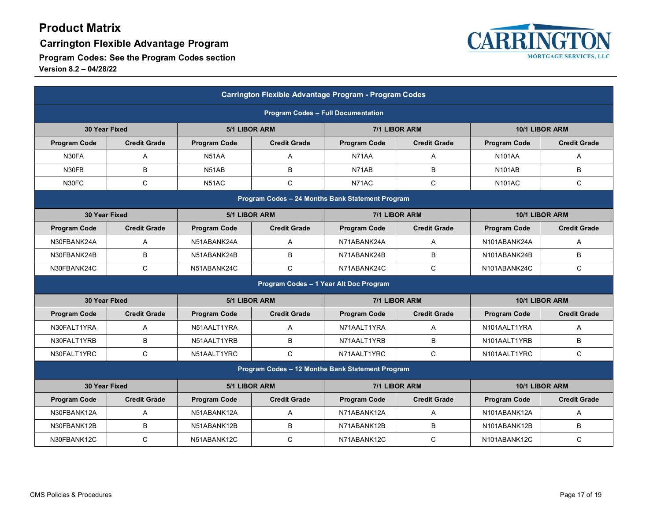**Carrington Flexible Advantage Program**



| Carrington Flexible Advantage Program - Program Codes |                                                  |                     |                     |                                        |                     |                     |                     |  |
|-------------------------------------------------------|--------------------------------------------------|---------------------|---------------------|----------------------------------------|---------------------|---------------------|---------------------|--|
|                                                       | <b>Program Codes - Full Documentation</b>        |                     |                     |                                        |                     |                     |                     |  |
| 30 Year Fixed                                         |                                                  | 5/1 LIBOR ARM       |                     |                                        | 7/1 LIBOR ARM       | 10/1 LIBOR ARM      |                     |  |
| <b>Program Code</b>                                   | <b>Credit Grade</b>                              | <b>Program Code</b> | <b>Credit Grade</b> | <b>Program Code</b>                    | <b>Credit Grade</b> | <b>Program Code</b> | <b>Credit Grade</b> |  |
| N30FA                                                 | A                                                | N51AA               | A                   | N71AA                                  | A                   | <b>N101AA</b>       | A                   |  |
| N30FB                                                 | B                                                | N51AB               | B                   | N71AB                                  | B                   | <b>N101AB</b>       | B                   |  |
| N30FC                                                 | $\mathsf{C}$                                     | N51AC               | $\mathsf{C}$        | N71AC                                  | $\mathsf{C}$        | <b>N101AC</b>       | C                   |  |
|                                                       | Program Codes - 24 Months Bank Statement Program |                     |                     |                                        |                     |                     |                     |  |
|                                                       | 30 Year Fixed                                    |                     | 5/1 LIBOR ARM       |                                        | 7/1 LIBOR ARM       | 10/1 LIBOR ARM      |                     |  |
| <b>Program Code</b>                                   | <b>Credit Grade</b>                              | <b>Program Code</b> | <b>Credit Grade</b> | <b>Program Code</b>                    | <b>Credit Grade</b> | <b>Program Code</b> | <b>Credit Grade</b> |  |
| N30FBANK24A                                           | A                                                | N51ABANK24A         | A                   | N71ABANK24A                            | A                   | N101ABANK24A        | A                   |  |
| N30FBANK24B                                           | B                                                | N51ABANK24B         | B                   | N71ABANK24B                            | B                   | N101ABANK24B        | B                   |  |
| N30FBANK24C                                           | $\mathsf{C}$                                     | N51ABANK24C         | C                   | N71ABANK24C                            | $\mathsf{C}$        | N101ABANK24C        | C                   |  |
|                                                       |                                                  |                     |                     | Program Codes - 1 Year Alt Doc Program |                     |                     |                     |  |
|                                                       | 30 Year Fixed                                    |                     | 5/1 LIBOR ARM       |                                        | 7/1 LIBOR ARM       |                     | 10/1 LIBOR ARM      |  |
| <b>Program Code</b>                                   | <b>Credit Grade</b>                              | <b>Program Code</b> | <b>Credit Grade</b> | <b>Program Code</b>                    | <b>Credit Grade</b> | <b>Program Code</b> | <b>Credit Grade</b> |  |
| N30FALT1YRA                                           | A                                                | N51AALT1YRA         | A                   | N71AALT1YRA                            | A                   | N101AALT1YRA        | A                   |  |
| N30FALT1YRB                                           | B                                                | N51AALT1YRB         | B                   | N71AALT1YRB                            | B                   | N101AALT1YRB        | B                   |  |
| N30FALT1YRC                                           | $\mathsf{C}$                                     | N51AALT1YRC         | $\mathsf C$         | N71AALT1YRC                            | $\mathsf{C}$        | N101AALT1YRC        | C                   |  |
|                                                       | Program Codes - 12 Months Bank Statement Program |                     |                     |                                        |                     |                     |                     |  |
|                                                       | 30 Year Fixed                                    |                     | 5/1 LIBOR ARM       |                                        | 7/1 LIBOR ARM       |                     | 10/1 LIBOR ARM      |  |
| <b>Program Code</b>                                   | <b>Credit Grade</b>                              | <b>Program Code</b> | <b>Credit Grade</b> | <b>Program Code</b>                    | <b>Credit Grade</b> | <b>Program Code</b> | <b>Credit Grade</b> |  |
| N30FBANK12A                                           | A                                                | N51ABANK12A         | A                   | N71ABANK12A                            | A                   | N101ABANK12A        | A                   |  |
| N30FBANK12B                                           | B                                                | N51ABANK12B         | B                   | N71ABANK12B                            | B                   | N101ABANK12B        | B                   |  |
| N30FBANK12C                                           | $\mathsf{C}$                                     | N51ABANK12C         | $\mathsf C$         | N71ABANK12C                            | $\mathsf{C}$        | N101ABANK12C        | $\mathsf{C}$        |  |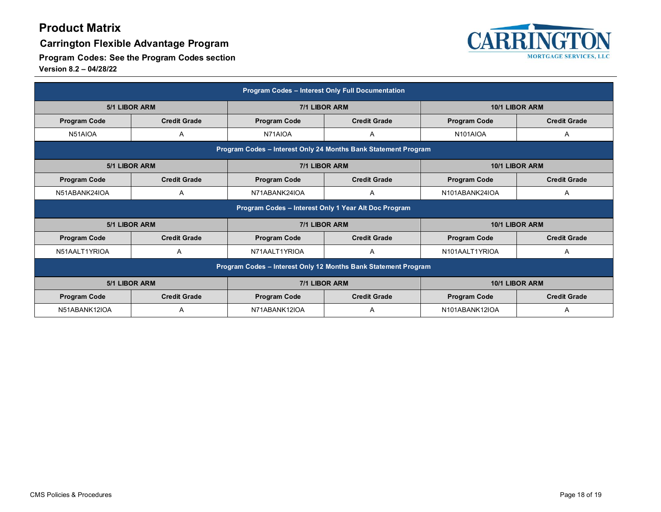### **Carrington Flexible Advantage Program**



| Program Codes - Interest Only Full Documentation               |                                                                |                                            |                     |                       |                     |  |  |
|----------------------------------------------------------------|----------------------------------------------------------------|--------------------------------------------|---------------------|-----------------------|---------------------|--|--|
| 5/1 LIBOR ARM                                                  |                                                                | 7/1 LIBOR ARM                              |                     | 10/1 LIBOR ARM        |                     |  |  |
| <b>Program Code</b>                                            | <b>Credit Grade</b>                                            | <b>Credit Grade</b><br><b>Program Code</b> |                     | <b>Program Code</b>   | <b>Credit Grade</b> |  |  |
| N51AIOA                                                        | A                                                              |                                            | Α                   | N <sub>101</sub> AIOA | A                   |  |  |
|                                                                | Program Codes - Interest Only 24 Months Bank Statement Program |                                            |                     |                       |                     |  |  |
| 5/1 LIBOR ARM                                                  |                                                                | 7/1 LIBOR ARM                              |                     | 10/1 LIBOR ARM        |                     |  |  |
| <b>Program Code</b>                                            | <b>Credit Grade</b>                                            |                                            | <b>Credit Grade</b> | <b>Program Code</b>   | <b>Credit Grade</b> |  |  |
| N51ABANK24IOA                                                  | A                                                              | N71ABANK24IOA                              | Α                   | N101ABANK24IOA        | A                   |  |  |
| Program Codes - Interest Only 1 Year Alt Doc Program           |                                                                |                                            |                     |                       |                     |  |  |
| <b>5/1 LIBOR ARM</b>                                           |                                                                | 7/1 LIBOR ARM                              |                     | 10/1 LIBOR ARM        |                     |  |  |
| <b>Program Code</b>                                            | <b>Credit Grade</b>                                            | <b>Program Code</b>                        | <b>Credit Grade</b> | <b>Program Code</b>   | <b>Credit Grade</b> |  |  |
| N51AALT1YRIOA                                                  | A                                                              | N71AALT1YRIOA                              | A                   | N101AALT1YRIOA        | A                   |  |  |
| Program Codes - Interest Only 12 Months Bank Statement Program |                                                                |                                            |                     |                       |                     |  |  |
| <b>5/1 LIBOR ARM</b><br>7/1 LIBOR ARM<br>10/1 LIBOR ARM        |                                                                |                                            |                     |                       |                     |  |  |
| <b>Program Code</b>                                            | <b>Credit Grade</b>                                            | <b>Program Code</b>                        | <b>Credit Grade</b> | <b>Program Code</b>   | <b>Credit Grade</b> |  |  |
| N51ABANK12IOA                                                  | A                                                              | N71ABANK12IOA                              | A                   | N101ABANK12IOA        | A                   |  |  |